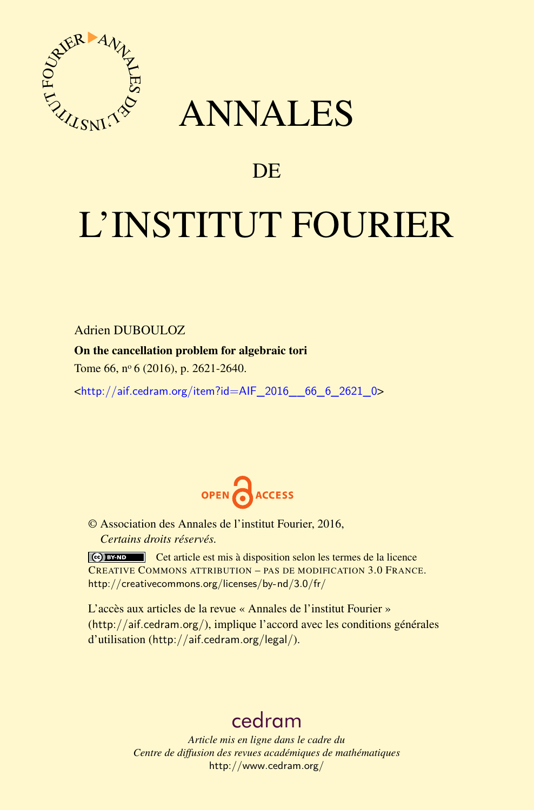

## ANNALES

### **DE**

# L'INSTITUT FOURIER

Adrien DUBOULOZ

On the cancellation problem for algebraic tori

Tome 66, nº 6 (2016), p. 2621-2640.

 $\kappa$ http://aif.cedram.org/item?id=AIF 2016 66 6 2621 0>



© Association des Annales de l'institut Fourier, 2016, *Certains droits réservés.*

Cet article est mis à disposition selon les termes de la licence CREATIVE COMMONS ATTRIBUTION – PAS DE MODIFICATION 3.0 FRANCE. <http://creativecommons.org/licenses/by-nd/3.0/fr/>

L'accès aux articles de la revue « Annales de l'institut Fourier » (<http://aif.cedram.org/>), implique l'accord avec les conditions générales d'utilisation (<http://aif.cedram.org/legal/>).

## [cedram](http://www.cedram.org/)

*Article mis en ligne dans le cadre du Centre de diffusion des revues académiques de mathématiques* <http://www.cedram.org/>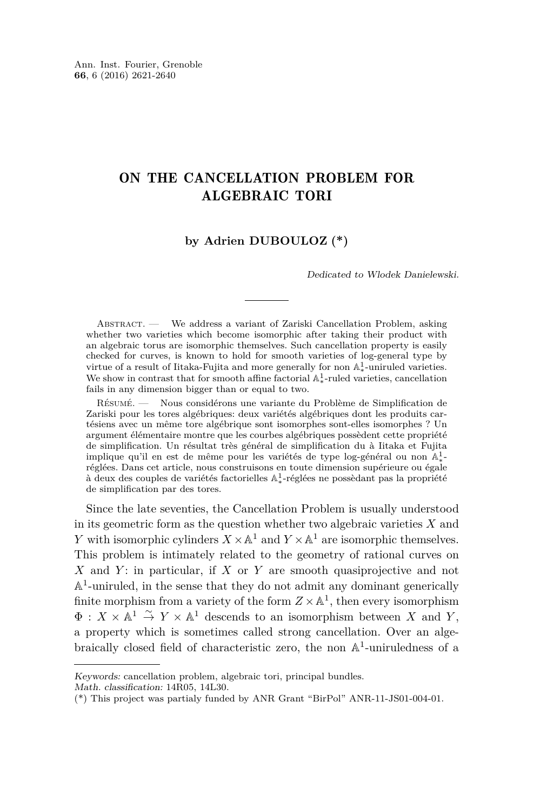#### ON THE CANCELLATION PROBLEM FOR ALGEBRAIC TORI

#### **by Adrien DUBOULOZ (\*)**

Dedicated to Wlodek Danielewski.

ABSTRACT. — We address a variant of Zariski Cancellation Problem, asking whether two varieties which become isomorphic after taking their product with an algebraic torus are isomorphic themselves. Such cancellation property is easily checked for curves, is known to hold for smooth varieties of log-general type by virtue of a result of Iitaka-Fujita and more generally for non  $\mathbb{A}^1_*$ -uniruled varieties. We show in contrast that for smooth affine factorial  $\mathbb{A}^1_*$ -ruled varieties, cancellation fails in any dimension bigger than or equal to two.

Résumé. — Nous considérons une variante du Problème de Simplification de Zariski pour les tores algébriques: deux variétés algébriques dont les produits cartésiens avec un même tore algébrique sont isomorphes sont-elles isomorphes ? Un argument élémentaire montre que les courbes algébriques possèdent cette propriété de simplification. Un résultat très général de simplification du à Iitaka et Fujita implique qu'il en est de même pour les variétés de type log-général ou non  $\mathbb{A}^1_*$ réglées. Dans cet article, nous construisons en toute dimension supérieure ou égale à deux des couples de variétés factorielles  $\mathbb{A}^1_*$ réglées ne possèdant pas la propriété de simplification par des tores.

Since the late seventies, the Cancellation Problem is usually understood in its geometric form as the question whether two algebraic varieties *X* and *Y* with isomorphic cylinders  $X \times \mathbb{A}^1$  and  $Y \times \mathbb{A}^1$  are isomorphic themselves. This problem is intimately related to the geometry of rational curves on *X* and *Y* : in particular, if *X* or *Y* are smooth quasiprojective and not  $\mathbb{A}^1$  -uniruled, in the sense that they do not admit any dominant generically finite morphism from a variety of the form  $Z \times \mathbb{A}^1$ , then every isomorphism  $\Phi: X \times \mathbb{A}^1 \stackrel{\sim}{\to} Y \times \mathbb{A}^1$  descends to an isomorphism between *X* and *Y*, a property which is sometimes called strong cancellation. Over an algebraically closed field of characteristic zero, the non  $\mathbb{A}^1$ -uniruledness of a

Keywords: cancellation problem, algebraic tori, principal bundles.

Math. classification: 14R05, 14L30.

<sup>(\*)</sup> This project was partialy funded by ANR Grant "BirPol" ANR-11-JS01-004-01.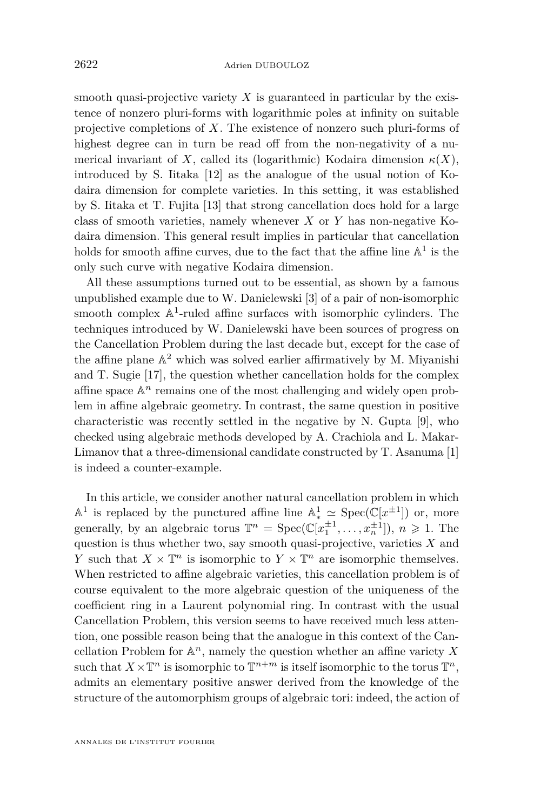smooth quasi-projective variety *X* is guaranteed in particular by the existence of nonzero pluri-forms with logarithmic poles at infinity on suitable projective completions of *X*. The existence of nonzero such pluri-forms of highest degree can in turn be read off from the non-negativity of a numerical invariant of *X*, called its (logarithmic) Kodaira dimension  $\kappa(X)$ , introduced by S. Iitaka [\[12\]](#page-19-0) as the analogue of the usual notion of Kodaira dimension for complete varieties. In this setting, it was established by S. Iitaka et T. Fujita [\[13\]](#page-19-1) that strong cancellation does hold for a large class of smooth varieties, namely whenever *X* or *Y* has non-negative Kodaira dimension. This general result implies in particular that cancellation holds for smooth affine curves, due to the fact that the affine line  $\mathbb{A}^1$  is the only such curve with negative Kodaira dimension.

All these assumptions turned out to be essential, as shown by a famous unpublished example due to W. Danielewski [\[3\]](#page-19-2) of a pair of non-isomorphic smooth complex  $\mathbb{A}^1$ -ruled affine surfaces with isomorphic cylinders. The techniques introduced by W. Danielewski have been sources of progress on the Cancellation Problem during the last decade but, except for the case of the affine plane  $\mathbb{A}^2$  which was solved earlier affirmatively by M. Miyanishi and T. Sugie [\[17\]](#page-20-0), the question whether cancellation holds for the complex affine space  $\mathbb{A}^n$  remains one of the most challenging and widely open problem in affine algebraic geometry. In contrast, the same question in positive characteristic was recently settled in the negative by N. Gupta [\[9\]](#page-19-3), who checked using algebraic methods developed by A. Crachiola and L. Makar-Limanov that a three-dimensional candidate constructed by T. Asanuma [\[1\]](#page-19-4) is indeed a counter-example.

In this article, we consider another natural cancellation problem in which  $\mathbb{A}^1$  is replaced by the punctured affine line  $\mathbb{A}^1 \simeq \text{Spec}(\mathbb{C}[x^{\pm 1}])$  or, more generally, by an algebraic torus  $\mathbb{T}^n = \text{Spec}(\mathbb{C}[x_1^{\pm 1}, \dots, x_n^{\pm 1}]), n \geq 1$ . The question is thus whether two, say smooth quasi-projective, varieties *X* and *Y* such that  $X \times \mathbb{T}^n$  is isomorphic to  $Y \times \mathbb{T}^n$  are isomorphic themselves. When restricted to affine algebraic varieties, this cancellation problem is of course equivalent to the more algebraic question of the uniqueness of the coefficient ring in a Laurent polynomial ring. In contrast with the usual Cancellation Problem, this version seems to have received much less attention, one possible reason being that the analogue in this context of the Cancellation Problem for A *<sup>n</sup>*, namely the question whether an affine variety *X* such that  $X \times \mathbb{T}^n$  is isomorphic to  $\mathbb{T}^{n+m}$  is itself isomorphic to the torus  $\mathbb{T}^n$ , admits an elementary positive answer derived from the knowledge of the structure of the automorphism groups of algebraic tori: indeed, the action of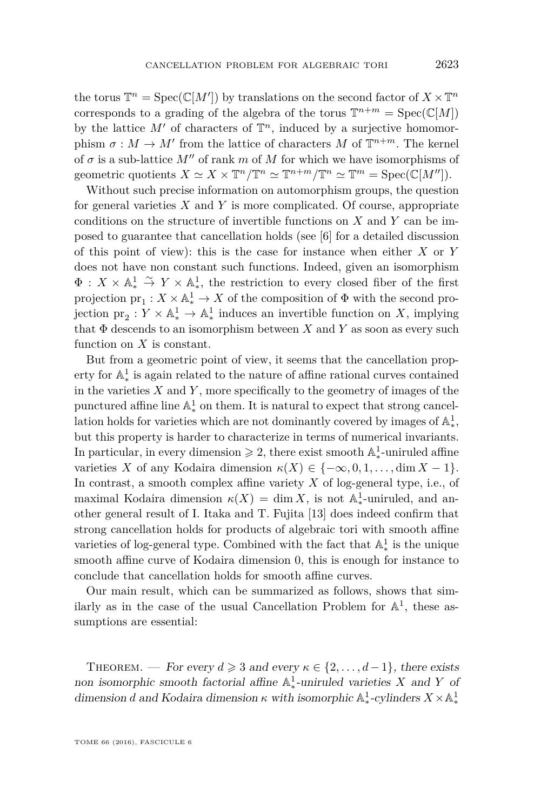the torus  $\mathbb{T}^n = \text{Spec}(\mathbb{C}[M'])$  by translations on the second factor of  $X \times \mathbb{T}^n$ corresponds to a grading of the algebra of the torus  $\mathbb{T}^{n+m} = \text{Spec}(\mathbb{C}[M])$ by the lattice  $M'$  of characters of  $\mathbb{T}^n$ , induced by a surjective homomorphism  $\sigma : M \to M'$  from the lattice of characters M of  $\mathbb{T}^{n+m}$ . The kernel of  $\sigma$  is a sub-lattice  $M''$  of rank  $m$  of  $M$  for which we have isomorphisms of geometric quotients  $X \simeq X \times \mathbb{T}^n / \mathbb{T}^n \simeq \mathbb{T}^{n+m} / \mathbb{T}^n \simeq \mathbb{T}^m = \text{Spec}(\mathbb{C}[M'])$ .

Without such precise information on automorphism groups, the question for general varieties *X* and *Y* is more complicated. Of course, appropriate conditions on the structure of invertible functions on *X* and *Y* can be imposed to guarantee that cancellation holds (see [\[6\]](#page-19-5) for a detailed discussion of this point of view): this is the case for instance when either *X* or *Y* does not have non constant such functions. Indeed, given an isomorphism  $\Phi: X \times \mathbb{A}^1_* \stackrel{\sim}{\to} Y \times \mathbb{A}^1_*$ , the restriction to every closed fiber of the first  $\text{projection } \text{pr}_1: X \times \mathbb{A}^1_* \to X \text{ of the composition of } \Phi \text{ with the second proof.}$ jection  $\text{pr}_2: Y \times \mathbb{A}^1_* \to \mathbb{A}^1_*$  $\frac{1}{\ast}$  induces an invertible function on *X*, implying that  $\Phi$  descends to an isomorphism between  $X$  and  $Y$  as soon as every such function on *X* is constant.

But from a geometric point of view, it seems that the cancellation property for  $\mathbb{A}^1_*$  is again related to the nature of affine rational curves contained ∗ in the varieties *X* and *Y* , more specifically to the geometry of images of the punctured affine line  $\mathbb{A}^1_*$  on them. It is natural to expect that strong cancellation holds for varieties which are not dominantly covered by images of  $\mathbb{A}^1_*,$  $\frac{1}{2}$  but this property is harder to characterize in terms of numerical invariants. In particular, in every dimension  $\geq 2$ , there exist smooth  $\mathbb{A}^1_*$ ∗ -uniruled affine varieties *X* of any Kodaira dimension  $\kappa(X) \in \{-\infty, 0, 1, \ldots, \dim X - 1\}.$ In contrast, a smooth complex affine variety *X* of log-general type, i.e., of maximal Kodaira dimension  $\kappa(X) = \dim X$ , is not  $\mathbb{A}^1_*$ -uniruled, and an- $\frac{1}{2}$  other general result of I. Itaka and T. Fujita [\[13\]](#page-19-1) does indeed confirm that strong cancellation holds for products of algebraic tori with smooth affine varieties of log-general type. Combined with the fact that  $\mathbb{A}^1_*$  is the unique ∗ smooth affine curve of Kodaira dimension 0, this is enough for instance to conclude that cancellation holds for smooth affine curves.

Our main result, which can be summarized as follows, shows that similarly as in the case of the usual Cancellation Problem for  $\mathbb{A}^1$ , these assumptions are essential:

THEOREM. — For every  $d \geq 3$  and every  $\kappa \in \{2, ..., d-1\}$ , there exists non isomorphic smooth factorial affine  $\mathbb{A}^1_*$ ∗ -uniruled varieties *X* and *Y* of dimension *d* and Kodaira dimension  $\kappa$  with isomorphic  $\mathbb{A}^1_*$ <sup>1</sup>/<sub>\*</sub>-cylinders  $X \times \mathbb{A}^1$ ∗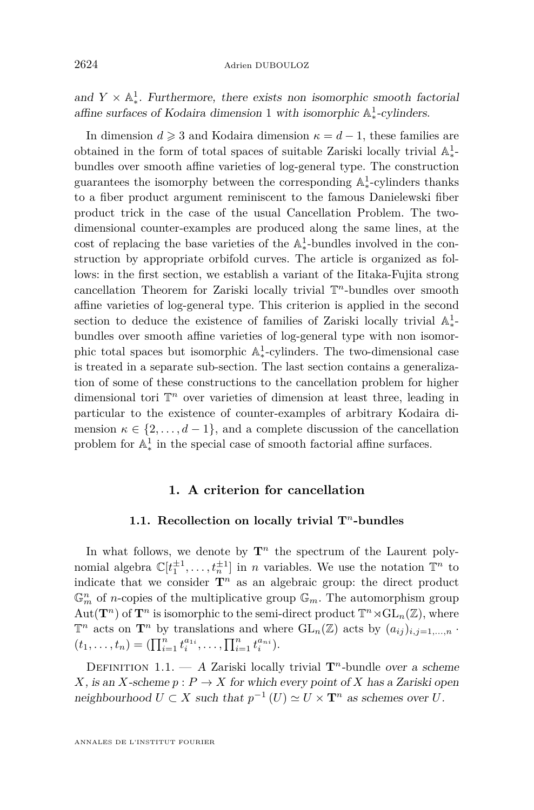and  $Y \times \mathbb{A}^1_*$ . Furthermore, there exists non isomorphic smooth factorial affine surfaces of Kodaira dimension 1 with isomorphic  $\mathbb{A}^1_*$ ∗ -cylinders.

In dimension  $d \geq 3$  and Kodaira dimension  $\kappa = d - 1$ , these families are obtained in the form of total spaces of suitable Zariski locally trivial  $\mathbb{A}^1_*$ ∗ bundles over smooth affine varieties of log-general type. The construction guarantees the isomorphy between the corresponding  $\mathbb{A}^1_*$ -cylinders thanks  $\frac{1}{2}$  to a fiber product argument reminiscent to the famous Danielewski fiber product trick in the case of the usual Cancellation Problem. The twodimensional counter-examples are produced along the same lines, at the cost of replacing the base varieties of the  $\mathbb{A}^1_*$ -bundles involved in the construction by appropriate orbifold curves. The article is organized as follows: in the first section, we establish a variant of the Iitaka-Fujita strong cancellation Theorem for Zariski locally trivial T *<sup>n</sup>*-bundles over smooth affine varieties of log-general type. This criterion is applied in the second section to deduce the existence of families of Zariski locally trivial  $\mathbb{A}^1_*$ ∗ bundles over smooth affine varieties of log-general type with non isomorphic total spaces but isomorphic  $\mathbb{A}^1_*$ <sup>1</sup>-cylinders. The two-dimensional case is treated in a separate sub-section. The last section contains a generalization of some of these constructions to the cancellation problem for higher dimensional tori  $\mathbb{T}^n$  over varieties of dimension at least three, leading in particular to the existence of counter-examples of arbitrary Kodaira dimension  $\kappa \in \{2, ..., d-1\}$ , and a complete discussion of the cancellation problem for  $\mathbb{A}^1_*$ ∗ in the special case of smooth factorial affine surfaces.

#### **1. A criterion for cancellation**

#### **1.1. Recollection on locally trivial T***<sup>n</sup>***-bundles**

In what follows, we denote by  $\mathbf{T}^n$  the spectrum of the Laurent polynomial algebra  $\mathbb{C}[t_1^{\pm 1}, \ldots, t_n^{\pm 1}]$  in *n* variables. We use the notation  $\mathbb{T}^n$  to indicate that we consider  $\mathbf{T}^n$  as an algebraic group: the direct product  $\mathbb{G}_m^n$  of *n*-copies of the multiplicative group  $\mathbb{G}_m$ . The automorphism group  $Aut(\mathbf{T}^n)$  of  $\mathbf{T}^n$  is isomorphic to the semi-direct product  $\mathbb{T}^n \rtimes GL_n(\mathbb{Z})$ , where  $\mathbb{T}^n$  acts on  $\mathbf{T}^n$  by translations and where  $\mathrm{GL}_n(\mathbb{Z})$  acts by  $(a_{ij})_{i,j=1,\ldots,n}$ .  $(t_1, \ldots, t_n) = (\prod_{i=1}^n t_i^{a_{1i}}, \ldots, \prod_{i=1}^n t_i^{a_{ni}}).$ 

<span id="page-4-0"></span>DEFINITION 1.1. — A Zariski locally trivial  $\mathbf{T}^n$ -bundle over a scheme *X*, is an *X*-scheme  $p: P \to X$  for which every point of *X* has a Zariski open neighbourhood  $U \subset X$  such that  $p^{-1}(U) \simeq U \times \mathbf{T}^n$  as schemes over  $U$ .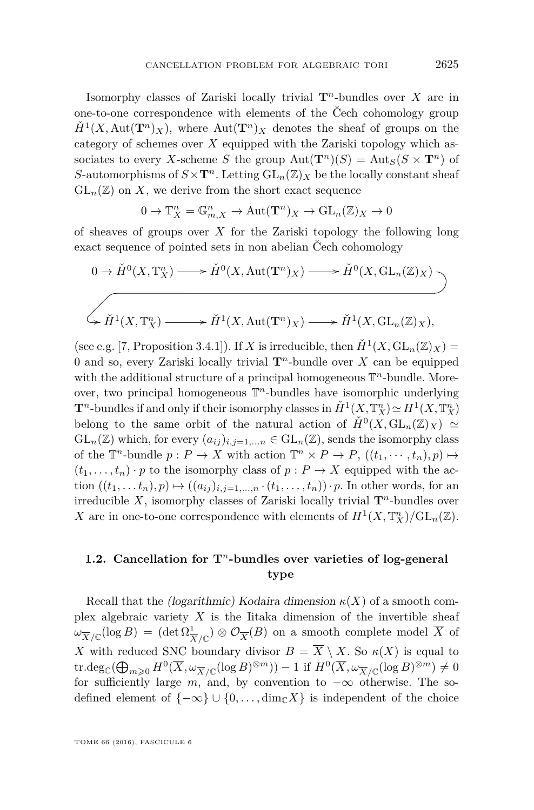Isomorphy classes of Zariski locally trivial **T***<sup>n</sup>*-bundles over *X* are in one-to-one correspondence with elements of the Čech cohomology group  $\check{H}^1(X, \text{Aut}(\mathbf{T}^n)_X)$ , where  $\text{Aut}(\mathbf{T}^n)_X$  denotes the sheaf of groups on the category of schemes over *X* equipped with the Zariski topology which associates to every *X*-scheme *S* the group  $Aut(\mathbf{T}^n)(S) = Aut_S(S \times \mathbf{T}^n)$  of *S*-automorphisms of  $S \times T^n$ . Letting  $GL_n(\mathbb{Z})_X$  be the locally constant sheaf  $GL_n(\mathbb{Z})$  on X, we derive from the short exact sequence

$$
0 \to \mathbb{T}_X^n = \mathbb{G}_{m,X}^n \to \mathrm{Aut}(\mathbf{T}^n)_X \to \mathrm{GL}_n(\mathbb{Z})_X \to 0
$$

of sheaves of groups over *X* for the Zariski topology the following long exact sequence of pointed sets in non abelian Čech cohomology

$$
0 \to \check{H}^0(X, \mathbb{T}_X^n) \longrightarrow \check{H}^0(X, \text{Aut}(\mathbf{T}^n)_X) \longrightarrow \check{H}^0(X, \text{GL}_n(\mathbb{Z})_X)
$$
  

$$
\left\downarrow \check{H}^1(X, \mathbb{T}_X^n) \longrightarrow \check{H}^1(X, \text{Aut}(\mathbf{T}^n)_X) \longrightarrow \check{H}^1(X, \text{GL}_n(\mathbb{Z})_X),
$$

(see e.g. [\[7,](#page-19-6) Proposition 3.4.1]). If *X* is irreducible, then  $\check{H}^1(X, GL_n(\mathbb{Z})_X) =$ 0 and so, every Zariski locally trivial **T***<sup>n</sup>*-bundle over *X* can be equipped with the additional structure of a principal homogeneous  $\mathbb{T}^n$ -bundle. Moreover, two principal homogeneous T *<sup>n</sup>*-bundles have isomorphic underlying **T**<sup>*n*</sup>-bundles if and only if their isomorphy classes in  $\check{H}^1(X, \mathbb{T}_X^n) \simeq H^1(X, \mathbb{T}_X^n)$ belong to the same orbit of the natural action of  $\check{H}^0(X, GL_n(\mathbb{Z})_X) \simeq$  $GL_n(\mathbb{Z})$  which, for every  $(a_{ij})_{i,j=1,...n} \in GL_n(\mathbb{Z})$ , sends the isomorphy class of the  $\mathbb{T}^n$ -bundle  $p: P \to X$  with action  $\mathbb{T}^n \times P \to P$ ,  $((t_1, \dots, t_n), p) \mapsto$  $(t_1, \ldots, t_n) \cdot p$  to the isomorphy class of  $p : P \to X$  equipped with the action  $((t_1, ..., t_n), p) \mapsto ((a_{ij})_{i,j=1,...,n} \cdot (t_1, ..., t_n)) \cdot p$ . In other words, for an irreducible *X*, isomorphy classes of Zariski locally trivial  $\mathbf{T}^n$ -bundles over *X* are in one-to-one correspondence with elements of  $H^1(X, \mathbb{T}_X^n)/\mathrm{GL}_n(\mathbb{Z})$ .

#### **1.2. Cancellation for T***<sup>n</sup>***-bundles over varieties of log-general type**

Recall that the *(logarithmic)* Kodaira dimension  $\kappa(X)$  of a smooth complex algebraic variety  $X$  is the Iitaka dimension of the invertible sheaf  $\omega_{\overline{X}/\mathbb{C}}(\log B) = (\det \Omega_{\overline{X}/\mathbb{C}}^1) \otimes \mathcal{O}_{\overline{X}}(B)$  on a smooth complete model  $\overline{X}$  of *X* with reduced SNC boundary divisor  $B = \overline{X} \setminus X$ . So  $\kappa(X)$  is equal to  $\text{tr.deg.}(\bigoplus_{m\geqslant 0} H^0(\overline{X}, \omega_{\overline{X}/\mathbb{C}}(\log B)^{\otimes m})) - 1$  if  $H^0(\overline{X}, \omega_{\overline{X}/\mathbb{C}}(\log B)^{\otimes m}) \neq 0$ for sufficiently large  $m$ , and, by convention to  $-\infty$  otherwise. The sodefined element of  $\{-\infty\} \cup \{0,\ldots,\dim_{\mathbb{C}} X\}$  is independent of the choice

TOME 66 (2016), FASCICULE 6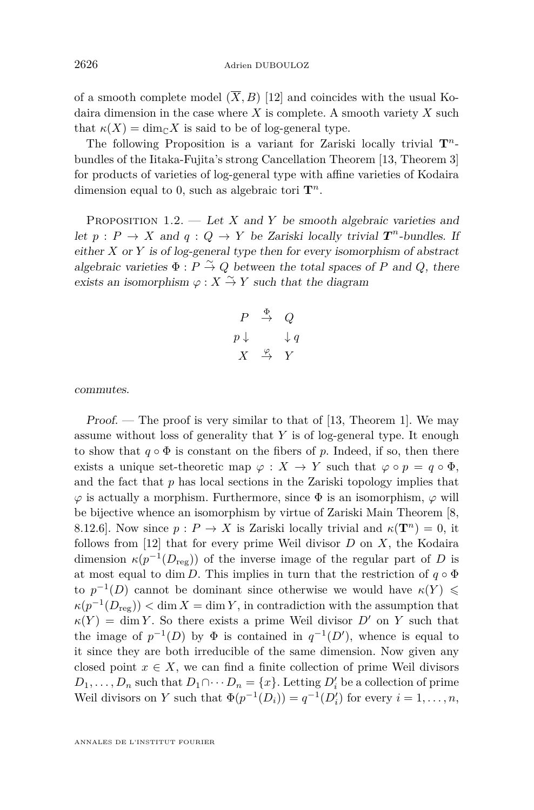of a smooth complete model  $(\overline{X}, B)$  [\[12\]](#page-19-0) and coincides with the usual Kodaira dimension in the case where *X* is complete. A smooth variety *X* such that  $\kappa(X) = \dim_{\mathbb{C}} X$  is said to be of log-general type.

The following Proposition is a variant for Zariski locally trivial  $\mathbf{T}^n$ bundles of the Iitaka-Fujita's strong Cancellation Theorem [\[13,](#page-19-1) Theorem 3] for products of varieties of log-general type with affine varieties of Kodaira dimension equal to 0, such as algebraic tori  $\mathbf{T}^n$ .

<span id="page-6-0"></span>PROPOSITION 1.2. — Let *X* and *Y* be smooth algebraic varieties and let  $p: P \to X$  and  $q: Q \to Y$  be Zariski locally trivial  $T^n$ -bundles. If either *X* or *Y* is of log-general type then for every isomorphism of abstract algebraic varieties  $\Phi$  :  $P \stackrel{\sim}{\rightarrow} Q$  between the total spaces of  $P$  and  $Q$ , there exists an isomorphism  $\varphi : X \overset{\sim}{\to} Y$  such that the diagram

$$
\begin{array}{ccc}\nP & \xrightarrow{\Phi} & Q \\
p \downarrow & & \downarrow q \\
X & \xrightarrow{\varphi} & Y\n\end{array}
$$

commutes.

Proof. — The proof is very similar to that of  $[13,$  Theorem 1. We may assume without loss of generality that *Y* is of log-general type. It enough to show that  $q \circ \Phi$  is constant on the fibers of p. Indeed, if so, then there exists a unique set-theoretic map  $\varphi : X \to Y$  such that  $\varphi \circ p = q \circ \Phi$ , and the fact that *p* has local sections in the Zariski topology implies that  $\varphi$  is actually a morphism. Furthermore, since  $\Phi$  is an isomorphism,  $\varphi$  will be bijective whence an isomorphism by virtue of Zariski Main Theorem [\[8,](#page-19-7) 8.12.6]. Now since  $p: P \to X$  is Zariski locally trivial and  $\kappa(\mathbf{T}^n) = 0$ , it follows from [\[12\]](#page-19-0) that for every prime Weil divisor *D* on *X*, the Kodaira dimension  $\kappa(p^{-1}(D_{\text{reg}}))$  of the inverse image of the regular part of *D* is at most equal to dim *D*. This implies in turn that the restriction of  $q \circ \Phi$ to  $p^{-1}(D)$  cannot be dominant since otherwise we would have  $\kappa(Y) \leq$  $\kappa(p^{-1}(D_{\text{reg}}))$  < dim *X* = dim *Y*, in contradiction with the assumption that  $\kappa(Y) = \dim Y$ . So there exists a prime Weil divisor *D'* on *Y* such that the image of  $p^{-1}(D)$  by  $\Phi$  is contained in  $q^{-1}(D')$ , whence is equal to it since they are both irreducible of the same dimension. Now given any closed point  $x \in X$ , we can find a finite collection of prime Weil divisors  $D_1, \ldots, D_n$  such that  $D_1 \cap \cdots D_n = \{x\}$ . Letting  $D_i'$  be a collection of prime Weil divisors on *Y* such that  $\Phi(p^{-1}(D_i)) = q^{-1}(D'_i)$  for every  $i = 1, ..., n$ ,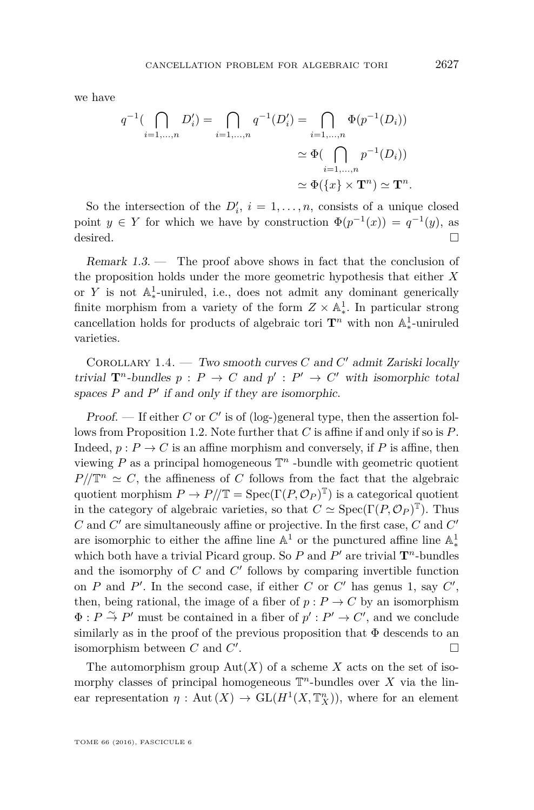we have

$$
q^{-1}(\bigcap_{i=1,\dots,n} D'_i) = \bigcap_{i=1,\dots,n} q^{-1}(D'_i) = \bigcap_{i=1,\dots,n} \Phi(p^{-1}(D_i))
$$
  

$$
\simeq \Phi(\bigcap_{i=1,\dots,n} p^{-1}(D_i))
$$
  

$$
\simeq \Phi(\lbrace x \rbrace \times \mathbf{T}^n) \simeq \mathbf{T}^n.
$$

So the intersection of the  $D'_i$ ,  $i = 1, \ldots, n$ , consists of a unique closed point  $y \in Y$  for which we have by construction  $\Phi(p^{-1}(x)) = q^{-1}(y)$ , as desired.  $\Box$ 

Remark 1.3. — The proof above shows in fact that the conclusion of the proposition holds under the more geometric hypothesis that either *X* or  $Y$  is not  $\mathbb{A}^1_*$ -uniruled, i.e., does not admit any dominant generically finite morphism from a variety of the form  $Z \times A_*^1$ . In particular strong  $\frac{1}{2}$  and  $\frac{1}{2}$  and  $\frac{1}{2}$  and  $\frac{1}{2}$  and  $\frac{1}{2}$  and  $\frac{1}{2}$  and  $\frac{1}{2}$  and  $\frac{1}{2}$  and  $\frac{1}{2}$  and  $\frac{1}{2}$  and  $\frac{1}{2}$  and  $\frac{1}{2}$  and  $\frac{1}{2}$  and  $\frac{1}{2}$  and  $\frac{1}{2}$  and  $\frac{1}{2}$  a ∗ -uniruled varieties.

COROLLARY 1.4.  $-$  Two smooth curves *C* and *C'* admit Zariski locally trivial  $\mathbf{T}^n$ -bundles  $p : P \to C$  and  $p' : P' \to C'$  with isomorphic total spaces  $P$  and  $P'$  if and only if they are isomorphic.

Proof. — If either *C* or *C'* is of (log-)general type, then the assertion follows from Proposition [1.2.](#page-6-0) Note further that *C* is affine if and only if so is *P*. Indeed,  $p: P \to C$  is an affine morphism and conversely, if P is affine, then viewing  $P$  as a principal homogeneous  $\mathbb{T}^n$  -bundle with geometric quotient  $P/\!\!/ \mathbb{T}^n \simeq C$ , the affineness of *C* follows from the fact that the algebraic quotient morphism  $P \to P/\!/ \mathbb{T} = \text{Spec}(\Gamma(P, \mathcal{O}_P)^{\mathbb{T}})$  is a categorical quotient in the category of algebraic varieties, so that  $C \simeq \text{Spec}(\Gamma(P, \mathcal{O}_P)^T)$ . Thus  $C$  and  $C'$  are simultaneously affine or projective. In the first case,  $C$  and  $C'$ are isomorphic to either the affine line  $\mathbb{A}^1$  or the punctured affine line  $\mathbb{A}^1_*$ which both have a trivial Picard group. So  $P$  and  $P'$  are trivial  $\mathbf{T}^n$ -bundles and the isomorphy of  $C$  and  $C'$  follows by comparing invertible function on *P* and *P'*. In the second case, if either *C* or  $C'$  has genus 1, say  $C'$ , then, being rational, the image of a fiber of  $p: P \to C$  by an isomorphism  $\Phi: P \overset{\sim}{\to} P'$  must be contained in a fiber of  $p': P' \to C'$ , and we conclude similarly as in the proof of the previous proposition that  $\Phi$  descends to an isomorphism between  $C$  and  $C'$ . В последните последните последните последните последните и последните последните последните последните после<br>В последните последните последните последните последните последните последните последните последните последнит

The automorphism group  $Aut(X)$  of a scheme X acts on the set of isomorphy classes of principal homogeneous  $\mathbb{T}^n$ -bundles over X via the linear representation  $\eta$ : Aut $(X) \to GL(H^1(X, \mathbb{T}_X^n))$ , where for an element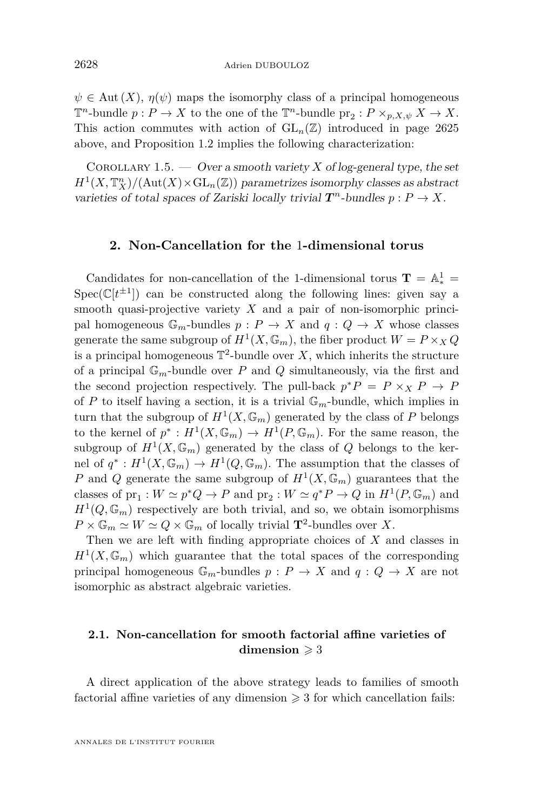$\psi \in$  Aut  $(X)$ ,  $\eta(\psi)$  maps the isomorphy class of a principal homogeneous  $\mathbb{T}^n$ -bundle  $p: P \to X$  to the one of the  $\mathbb{T}^n$ -bundle  $\text{pr}_2: P \times_{p,X,\psi} X \to X$ . This action commutes with action of  $GL_n(\mathbb{Z})$  introduced in page [2625](#page-4-0) above, and Proposition [1.2](#page-6-0) implies the following characterization:

<span id="page-8-0"></span>COROLLARY 1.5. — Over a smooth variety X of log-general type, the set  $H^1(X, \mathbb{T}_X^n) / (\text{Aut}(X) \times \text{GL}_n(\mathbb{Z}))$  parametrizes isomorphy classes as abstract varieties of total spaces of Zariski locally trivial  $T^n$ -bundles  $p: P \to X$ .

#### <span id="page-8-1"></span>**2. Non-Cancellation for the** 1**-dimensional torus**

Candidates for non-cancellation of the 1-dimensional torus  $\mathbf{T} = \mathbb{A}^1_* =$  $Spec(\mathbb{C}[t^{\pm 1}])$  can be constructed along the following lines: given say a smooth quasi-projective variety *X* and a pair of non-isomorphic principal homogeneous  $\mathbb{G}_m$ -bundles  $p: P \to X$  and  $q: Q \to X$  whose classes generate the same subgroup of  $H^1(X, \mathbb{G}_m)$ , the fiber product  $W = P \times_X Q$ is a principal homogeneous  $\mathbb{T}^2$ -bundle over X, which inherits the structure of a principal  $\mathbb{G}_m$ -bundle over P and Q simultaneously, via the first and the second projection respectively. The pull-back  $p^*P = P \times_X P \to P$ of *P* to itself having a section, it is a trivial  $\mathbb{G}_m$ -bundle, which implies in turn that the subgroup of  $H^1(X, \mathbb{G}_m)$  generated by the class of P belongs to the kernel of  $p^* : H^1(X, \mathbb{G}_m) \to H^1(P, \mathbb{G}_m)$ . For the same reason, the subgroup of  $H^1(X, \mathbb{G}_m)$  generated by the class of  $Q$  belongs to the kernel of  $q^*: H^1(X, \mathbb{G}_m) \to H^1(Q, \mathbb{G}_m)$ . The assumption that the classes of *P* and *Q* generate the same subgroup of  $H^1(X, \mathbb{G}_m)$  guarantees that the classes of  $pr_1: W \simeq p^*Q \to P$  and  $pr_2: W \simeq q^*P \to Q$  in  $H^1(P, \mathbb{G}_m)$  and  $H^1(Q, \mathbb{G}_m)$  respectively are both trivial, and so, we obtain isomorphisms  $P \times \mathbb{G}_m \simeq W \simeq Q \times \mathbb{G}_m$  of locally trivial  $\mathbf{T}^2$ -bundles over *X*.

Then we are left with finding appropriate choices of *X* and classes in  $H^1(X,\mathbb{G}_m)$  which guarantee that the total spaces of the corresponding principal homogeneous  $\mathbb{G}_m$ -bundles  $p: P \to X$  and  $q: Q \to X$  are not isomorphic as abstract algebraic varieties.

#### <span id="page-8-2"></span>**2.1. Non-cancellation for smooth factorial affine varieties of dimension**  $\geq 3$

A direct application of the above strategy leads to families of smooth factorial affine varieties of any dimension  $\geq 3$  for which cancellation fails: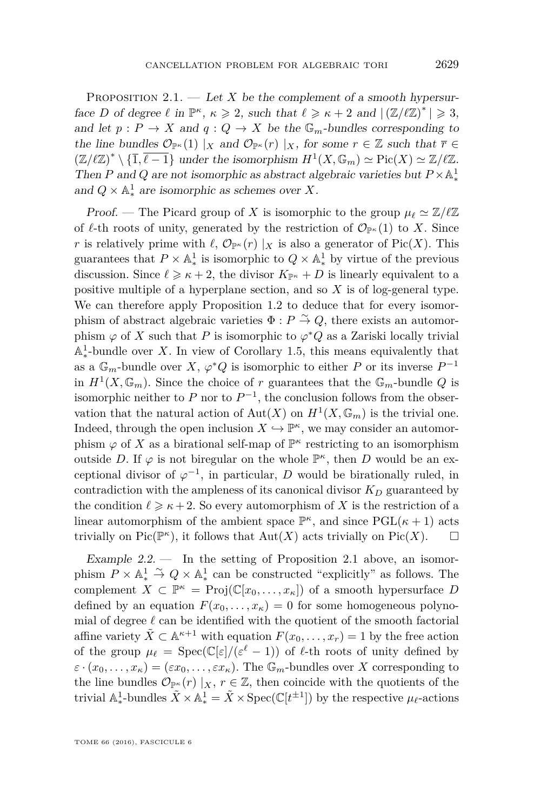<span id="page-9-0"></span>PROPOSITION 2.1. — Let X be the complement of a smooth hypersurface *D* of degree  $\ell$  in  $\mathbb{P}^{\kappa}$ ,  $\kappa \geqslant 2$ , such that  $\ell \geqslant \kappa + 2$  and  $|(\mathbb{Z}/\ell\mathbb{Z})^*| \geqslant 3$ , and let  $p: P \to X$  and  $q: Q \to X$  be the  $\mathbb{G}_m$ -bundles corresponding to the line bundles  $\mathcal{O}_{\mathbb{P}^{\kappa}}(1) \mid_X \text{ and } \mathcal{O}_{\mathbb{P}^{\kappa}}(r) \mid_X \text{, for some } r \in \mathbb{Z} \text{ such that } \overline{r} \in$  $(\mathbb{Z}/\ell\mathbb{Z})^* \setminus {\{\overline{1}, \overline{\ell-1}\}}$  under the isomorphism  $H^1(X, \mathbb{G}_m) \simeq Pic(X) \simeq \mathbb{Z}/\ell\mathbb{Z}$ . Then *P* and *Q* are not isomorphic as abstract algebraic varieties but  $P \times \mathbb{A}^1_*$ ∗ and  $Q \times \mathbb{A}^1_*$  are isomorphic as schemes over *X*.

Proof. — The Picard group of *X* is isomorphic to the group  $\mu_{\ell} \simeq \mathbb{Z}/\ell\mathbb{Z}$ of  $\ell$ -th roots of unity, generated by the restriction of  $\mathcal{O}_{\mathbb{P}^{\kappa}}(1)$  to *X*. Since *r* is relatively prime with  $\ell$ ,  $\mathcal{O}_{\mathbb{P}^{\kappa}}(r) |X|$  is also a generator of Pic(*X*). This guarantees that  $P \times \mathbb{A}_*^1$  is isomorphic to  $Q \times \mathbb{A}_*^1$  by virtue of the previous discussion. Since  $\ell \geq \kappa + 2$ , the divisor  $K_{\mathbb{P}^{\kappa}} + D$  is linearly equivalent to a positive multiple of a hyperplane section, and so *X* is of log-general type. We can therefore apply Proposition [1.2](#page-6-0) to deduce that for every isomorphism of abstract algebraic varieties  $\Phi : P \stackrel{\sim}{\to} Q$ , there exists an automorphism  $\varphi$  of *X* such that *P* is isomorphic to  $\varphi^*Q$  as a Zariski locally trivial  $\mathbb{A}^1_*$ -bundle over X. In view of Corollary [1.5,](#page-8-0) this means equivalently that as a  $\mathbb{G}_m$ -bundle over *X*,  $\varphi^*Q$  is isomorphic to either *P* or its inverse  $P^{-1}$ in  $H^1(X, \mathbb{G}_m)$ . Since the choice of *r* guarantees that the  $\mathbb{G}_m$ -bundle *Q* is isomorphic neither to  $P$  nor to  $P^{-1}$ , the conclusion follows from the observation that the natural action of  $\text{Aut}(X)$  on  $H^1(X, \mathbb{G}_m)$  is the trivial one. Indeed, through the open inclusion  $X \hookrightarrow \mathbb{P}^{\kappa}$ , we may consider an automorphism  $\varphi$  of X as a birational self-map of  $\mathbb{P}^{\kappa}$  restricting to an isomorphism outside D. If  $\varphi$  is not biregular on the whole  $\mathbb{P}^{\kappa}$ , then D would be an exceptional divisor of  $\varphi^{-1}$ , in particular, *D* would be birationally ruled, in contradiction with the ampleness of its canonical divisor  $K_D$  guaranteed by the condition  $\ell \geq \kappa + 2$ . So every automorphism of *X* is the restriction of a linear automorphism of the ambient space  $\mathbb{P}^{\kappa}$ , and since  $\text{PGL}(\kappa + 1)$  acts trivially on Pic( $\mathbb{P}^{\kappa}$ ), it follows that  $\mathrm{Aut}(X)$  acts trivially on Pic(X).  $\square$ 

Example 2.2. — In the setting of Proposition [2.1](#page-9-0) above, an isomorphism  $P \times \mathbb{A}^1_* \overset{\sim}{\to} Q \times \mathbb{A}^1_*$  can be constructed "explicitly" as follows. The  $x \in \mathbb{R}^k$  and  $y \in \text{S}$  constraints depending as follows. The complement  $X \subset \mathbb{P}^k = \text{Proj}(\mathbb{C}[x_0,\ldots,x_\kappa])$  of a smooth hypersurface *D* defined by an equation  $F(x_0, \ldots, x_k) = 0$  for some homogeneous polynomial of degree  $\ell$  can be identified with the quotient of the smooth factorial affine variety  $\tilde{X} \subset \mathbb{A}^{\kappa+1}$  with equation  $F(x_0, \ldots, x_r) = 1$  by the free action of the group  $\mu_{\ell} = \text{Spec}(\mathbb{C}[\varepsilon]/(\varepsilon^{\ell} - 1))$  of  $\ell$ -th roots of unity defined by  $\varepsilon \cdot (x_0, \ldots, x_\kappa) = (\varepsilon x_0, \ldots, \varepsilon x_\kappa)$ . The  $\mathbb{G}_m$ -bundles over *X* corresponding to the line bundles  $\mathcal{O}_{\mathbb{P}^k}(r) \mid_X, r \in \mathbb{Z}$ , then coincide with the quotients of the trivial  $\mathbb{A}^1_*$ <sup>1</sup>/<sub>\*</sub>-bundles  $\tilde{X} \times \mathbb{A}^1_* = \tilde{X} \times \text{Spec}(\mathbb{C}[t^{\pm 1}])$  by the respective  $\mu_{\ell}$ -actions

TOME 66 (2016), FASCICULE 6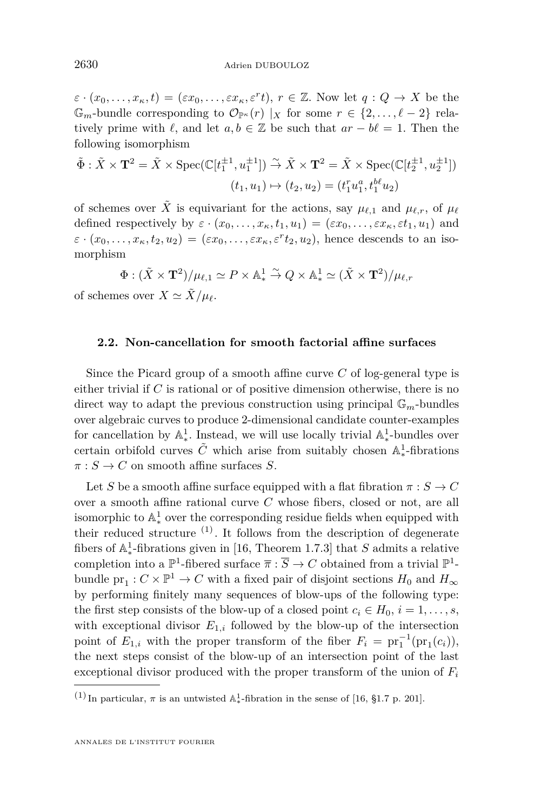$\varepsilon \cdot (x_0, \ldots, x_\kappa, t) = (\varepsilon x_0, \ldots, \varepsilon x_\kappa, \varepsilon^r t), r \in \mathbb{Z}$ . Now let  $q: Q \to X$  be the  $\mathbb{G}_m$ -bundle corresponding to  $\mathcal{O}_{\mathbb{P}^{\kappa}}(r) \mid_X \text{ for some } r \in \{2, \ldots, \ell - 2\}$  relatively prime with  $\ell$ , and let  $a, b \in \mathbb{Z}$  be such that  $ar - b\ell = 1$ . Then the following isomorphism

$$
\tilde{\Phi}: \tilde{X} \times \mathbf{T}^2 = \tilde{X} \times \operatorname{Spec}(\mathbb{C}[t_1^{\pm 1}, u_1^{\pm 1}]) \stackrel{\sim}{\to} \tilde{X} \times \mathbf{T}^2 = \tilde{X} \times \operatorname{Spec}(\mathbb{C}[t_2^{\pm 1}, u_2^{\pm 1}])
$$
\n
$$
(t_1, u_1) \mapsto (t_2, u_2) = (t_1^r u_1^a, t_1^{b\ell} u_2)
$$

of schemes over  $\tilde{X}$  is equivariant for the actions, say  $\mu_{\ell,1}$  and  $\mu_{\ell,r}$ , of  $\mu_{\ell}$ defined respectively by  $\varepsilon \cdot (x_0, \ldots, x_\kappa, t_1, u_1) = (\varepsilon x_0, \ldots, \varepsilon x_\kappa, \varepsilon t_1, u_1)$  and  $\varepsilon \cdot (x_0, \ldots, x_\kappa, t_2, u_2) = (\varepsilon x_0, \ldots, \varepsilon x_\kappa, \varepsilon^r t_2, u_2)$ , hence descends to an isomorphism

$$
\Phi: (\tilde{X} \times \mathbf{T}^2)/\mu_{\ell,1} \simeq P \times \mathbb{A}^1_* \stackrel{\sim}{\to} Q \times \mathbb{A}^1_* \simeq (\tilde{X} \times \mathbf{T}^2)/\mu_{\ell,r}
$$

of schemes over  $X \simeq \tilde{X}/\mu_{\ell}$ .

#### <span id="page-10-0"></span>**2.2. Non-cancellation for smooth factorial affine surfaces**

Since the Picard group of a smooth affine curve *C* of log-general type is either trivial if *C* is rational or of positive dimension otherwise, there is no direct way to adapt the previous construction using principal  $\mathbb{G}_m$ -bundles over algebraic curves to produce 2-dimensional candidate counter-examples for cancellation by  $\mathbb{A}^1_*$ . Instead, we will use locally trivial  $\mathbb{A}^1_*$ -bundles over  $\chi^2$  certain orbifold curves  $\tilde{C}$  which arise from suitably chosen  $\mathbb{A}^1_*$ ∗ -fibrations  $\pi: S \to C$  on smooth affine surfaces *S*.

Let *S* be a smooth affine surface equipped with a flat fibration  $\pi : S \to C$ over a smooth affine rational curve *C* whose fibers, closed or not, are all isomorphic to  $\mathbb{A}^1_*$  over the corresponding residue fields when equipped with their reduced structure  $(1)$ . It follows from the description of degenerate fibers of  $\mathbb{A}^1_*$ -fibrations given in [\[16,](#page-19-8) Theorem 1.7.3] that *S* admits a relative  $\frac{1}{\sqrt{2}}$  completion into a  $\mathbb{P}^1$ -fibered surface  $\overline{\pi}$  :  $\overline{S}$   $\rightarrow$  *C* obtained from a trivial  $\mathbb{P}^1$ bundle  $pr_1: C \times \mathbb{P}^1 \to C$  with a fixed pair of disjoint sections  $H_0$  and  $H_{\infty}$ by performing finitely many sequences of blow-ups of the following type: the first step consists of the blow-up of a closed point  $c_i \in H_0$ ,  $i = 1, \ldots, s$ , with exceptional divisor  $E_{1,i}$  followed by the blow-up of the intersection point of  $E_{1,i}$  with the proper transform of the fiber  $F_i = \text{pr}_1^{-1}(\text{pr}_1(c_i)),$ the next steps consist of the blow-up of an intersection point of the last exceptional divisor produced with the proper transform of the union of *F<sup>i</sup>*

<sup>&</sup>lt;sup>(1)</sup> In particular,  $\pi$  is an untwisted  $\mathbb{A}^1_*$ -fibration in the sense of [\[16,](#page-19-8) §1.7 p. 201].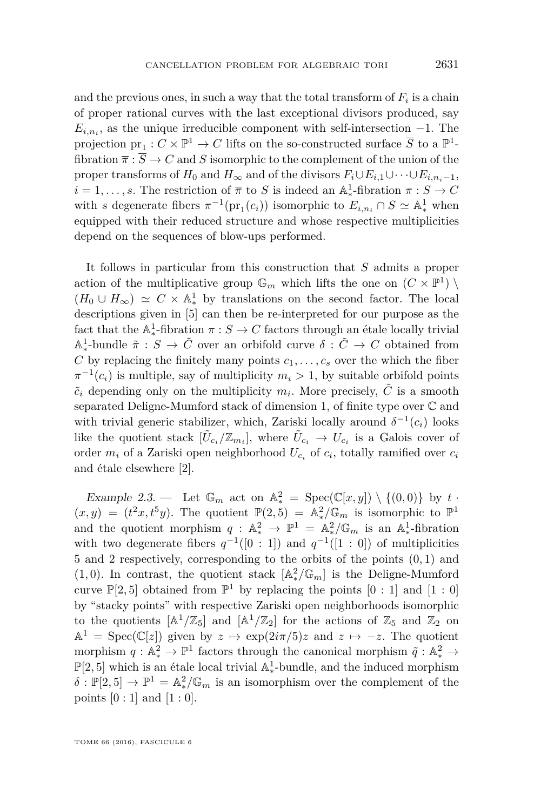and the previous ones, in such a way that the total transform of  $F_i$  is a chain of proper rational curves with the last exceptional divisors produced, say  $E_{i,n_i}$ , as the unique irreducible component with self-intersection  $-1$ . The projection  $pr_1: C \times \mathbb{P}^1 \to C$  lifts on the so-constructed surface  $\overline{S}$  to a  $\mathbb{P}^1$ fibration  $\overline{\pi}$  :  $\overline{S}$   $\rightarrow$  *C* and *S* isomorphic to the complement of the union of the proper transforms of  $H_0$  and  $H_{\infty}$  and of the divisors  $F_i \cup E_{i,1} \cup \cdots \cup E_{i,n_i-1}$ ,  $i = 1, \ldots, s$ . The restriction of  $\overline{\pi}$  to *S* is indeed an  $\mathbb{A}^1_*$ -fibration  $\pi : S \to C$ with *s* degenerate fibers  $\pi^{-1}(\text{pr}_1(c_i))$  isomorphic to  $E_{i,n_i} \cap S \simeq \mathbb{A}^1_*$  when equipped with their reduced structure and whose respective multiplicities depend on the sequences of blow-ups performed.

It follows in particular from this construction that *S* admits a proper action of the multiplicative group  $\mathbb{G}_m$  which lifts the one on  $(C \times \mathbb{P}^1)$  $(H_0 \cup H_\infty) \simeq C \times \mathbb{A}^1_*$  by translations on the second factor. The local descriptions given in [\[5\]](#page-19-9) can then be re-interpreted for our purpose as the fact that the  $\mathbb{A}^1_*$ -fibration  $\pi : S \to C$  factors through an étale locally trivial  $\mathbb{A}^1_*$ -bundle  $\tilde{\pi}: S \to \tilde{C}$  over an orbifold curve  $\delta: \tilde{C} \to C$  obtained from  $C$  by replacing the finitely many points  $c_1, \ldots, c_s$  over the which the fiber  $\pi^{-1}(c_i)$  is multiple, say of multiplicity  $m_i > 1$ , by suitable orbifold points  $\tilde{c}_i$  depending only on the multiplicity  $m_i$ . More precisely,  $\tilde{C}$  is a smooth separated Deligne-Mumford stack of dimension 1, of finite type over C and with trivial generic stabilizer, which, Zariski locally around  $\delta^{-1}(c_i)$  looks like the quotient stack  $[\tilde{U}_{c_i}/\mathbb{Z}_{m_i}]$ , where  $\tilde{U}_{c_i} \to U_{c_i}$  is a Galois cover of order  $m_i$  of a Zariski open neighborhood  $U_{c_i}$  of  $c_i$ , totally ramified over  $c_i$ and étale elsewhere [\[2\]](#page-19-10).

<span id="page-11-0"></span>Example 2.3. — Let  $\mathbb{G}_m$  act on  $\mathbb{A}^2_* = \text{Spec}(\mathbb{C}[x,y]) \setminus \{(0,0)\}$  by  $t$ .  $(x, y) = (t^2x, t^5y)$ . The quotient  $\mathbb{P}(2, 5) = \mathbb{A}_*^2 / \mathbb{G}_m$  is isomorphic to  $\mathbb{P}^1$ and the quotient morphism  $q: \mathbb{A}^2_* \to \mathbb{P}^1 = \mathbb{A}^2_*/\mathbb{G}_m$  is an  $\mathbb{A}^1_*$ ∗ -fibration with two degenerate fibers  $q^{-1}([0:1])$  and  $q^{-1}([1:0])$  of multiplicities 5 and 2 respectively, corresponding to the orbits of the points (0*,* 1) and (1,0). In contrast, the quotient stack  $[A_*^2/\mathbb{G}_m]$  is the Deligne-Mumford curve  $\mathbb{P}[2, 5]$  obtained from  $\mathbb{P}^1$  by replacing the points  $[0: 1]$  and  $[1: 0]$ by "stacky points" with respective Zariski open neighborhoods isomorphic to the quotients  $[A^1/\mathbb{Z}_5]$  and  $[A^1/\mathbb{Z}_2]$  for the actions of  $\mathbb{Z}_5$  and  $\mathbb{Z}_2$  on  $\mathbb{A}^1 = \text{Spec}(\mathbb{C}[z])$  given by  $z \mapsto \exp(2i\pi/5)z$  and  $z \mapsto -z$ . The quotient morphism  $q : \mathbb{A}^2_* \to \mathbb{P}^1$  factors through the canonical morphism  $\tilde{q} : \mathbb{A}^2_* \to$  $\mathbb{P}[2,5]$  which is an étale local trivial  $\mathbb{A}_*^1$ -bundle, and the induced morphism  $\delta$  :  $\mathbb{P}[2,5] \to \mathbb{P}^1 = \mathbb{A}_*^2 / \mathbb{G}_m$  is an isomorphism over the complement of the points  $[0:1]$  and  $[1:0]$ .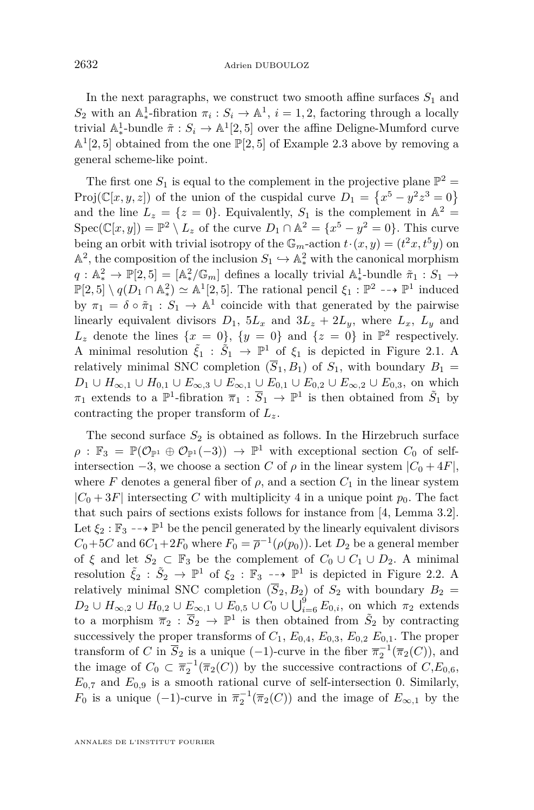In the next paragraphs, we construct two smooth affine surfaces  $S_1$  and  $S_2$  with an A<sup>1</sup><sub>∗</sub>-fibration  $π_i$  :  $S_i$  → A<sup>1</sup>,  $i = 1, 2$ , factoring through a locally trivial  $\mathbb{A}_{*}^{1}$ -bundle  $\tilde{\pi}: S_{i} \to \mathbb{A}^{1}[2, 5]$  over the affine Deligne-Mumford curve  $\mathbb{A}^1[2,5]$  obtained from the one  $\mathbb{P}[2,5]$  of Example [2.3](#page-11-0) above by removing a general scheme-like point.

The first one  $S_1$  is equal to the complement in the projective plane  $\mathbb{P}^2$  = Proj( $\mathbb{C}[x, y, z]$ ) of the union of the cuspidal curve  $D_1 = \{x^5 - y^2z^3 = 0\}$ and the line  $L_z = \{z = 0\}$ . Equivalently,  $S_1$  is the complement in  $\mathbb{A}^2 =$  $Spec(\mathbb{C}[x,y]) = \mathbb{P}^2 \setminus L_z$  of the curve  $D_1 \cap \mathbb{A}^2 = \{x^5 - y^2 = 0\}$ . This curve being an orbit with trivial isotropy of the  $\mathbb{G}_m$ -action  $t \cdot (x, y) = (t^2x, t^5y)$  on  $\mathbb{A}^2$ , the composition of the inclusion  $S_1 \hookrightarrow \mathbb{A}^2_*$  with the canonical morphism  $q: \mathbb{A}^2_* \to \mathbb{P}[2,5] = [\mathbb{A}^2_*/\mathbb{G}_m]$  defines a locally trivial  $\mathbb{A}^1_*$ -bundle  $\tilde{\pi}_1: S_1 \to \mathbb{P}[2, \mathbb{B}^1]$  $\mathbb{P}[2,5] \setminus q(D_1 \cap \mathbb{A}_*^2) \simeq \mathbb{A}^1[2,5].$  The rational pencil  $\xi_1 : \mathbb{P}^2 \dashrightarrow \mathbb{P}^1$  induced by  $\pi_1 = \delta \circ \tilde{\pi}_1 : S_1 \to \mathbb{A}^1$  coincide with that generated by the pairwise linearly equivalent divisors  $D_1$ ,  $5L_x$  and  $3L_z + 2L_y$ , where  $L_x$ ,  $L_y$  and  $L_z$  denote the lines  $\{x = 0\}$ ,  $\{y = 0\}$  and  $\{z = 0\}$  in  $\mathbb{P}^2$  respectively. A minimal resolution  $\tilde{\xi}_1$  :  $\tilde{S}_1 \rightarrow \mathbb{P}^1$  of  $\xi_1$  is depicted in Figure [2.1.](#page-13-0) A relatively minimal SNC completion  $(\overline{S}_1, B_1)$  of  $S_1$ , with boundary  $B_1 =$ *D*<sub>1</sub> ∪ *H*<sub>∞</sub>,1</sub> ∪ *H*<sub>0</sub>,1</sub> ∪ *E*<sub>∞</sub>,3</sub> ∪ *E*<sub>∞</sub>,1</sub> ∪ *E*<sub>0</sub>,1</sub> ∪ *E*<sub>0</sub>,2</sub> ∪ *E*<sub>∞</sub>,2 ∪ *E*<sub>0</sub>,3, on which *π*<sub>1</sub> extends to a  $\mathbb{P}^1$ -fibration  $\overline{\pi}_1 : \overline{S}_1 \to \mathbb{P}^1$  is then obtained from  $\tilde{S}_1$  by contracting the proper transform of *Lz*.

The second surface  $S_2$  is obtained as follows. In the Hirzebruch surface  $\rho : \mathbb{F}_3 = \mathbb{P}(\mathcal{O}_{\mathbb{P}^1} \oplus \mathcal{O}_{\mathbb{P}^1}(-3)) \to \mathbb{P}^1$  with exceptional section  $C_0$  of selfintersection  $-3$ , we choose a section *C* of  $\rho$  in the linear system  $|C_0 + 4F|$ , where *F* denotes a general fiber of  $\rho$ , and a section  $C_1$  in the linear system  $|C_0 + 3F|$  intersecting *C* with multiplicity 4 in a unique point  $p_0$ . The fact that such pairs of sections exists follows for instance from [\[4,](#page-19-11) Lemma 3.2]. Let  $\xi_2 : \mathbb{F}_3 \dashrightarrow \mathbb{P}^1$  be the pencil generated by the linearly equivalent divisors  $C_0+5C$  and  $6C_1+2F_0$  where  $F_0 = \overline{\rho}^{-1}(\rho(p_0))$ . Let  $D_2$  be a general member of  $\xi$  and let  $S_2 \subset \mathbb{F}_3$  be the complement of  $C_0 \cup C_1 \cup D_2$ . A minimal resolution  $\tilde{\xi}_2$  :  $\tilde{S}_2 \to \mathbb{P}^1$  of  $\xi_2$  :  $\mathbb{F}_3 \longrightarrow \mathbb{P}^1$  is depicted in Figure [2.2.](#page-14-0) A relatively minimal SNC completion  $(\overline{S}_2, B_2)$  of  $S_2$  with boundary  $B_2 =$ *D*<sub>2</sub> ∪ *H*<sub>∞</sub>,2 ∪ *H*<sub>0</sub>,2 ∪ *E*<sub>∞</sub>,1 ∪ *E*<sub>0</sub>,5 ∪ *C*<sub>0</sub> ∪  $\bigcup_{i=6}^{9}$ *E*<sub>0</sub>*i*, on which  $π$ <sub>2</sub> extends to a morphism  $\overline{\pi}_2 : \overline{S}_2 \to \mathbb{P}^1$  is then obtained from  $\tilde{S}_2$  by contracting successively the proper transforms of  $C_1$ ,  $E_{0,4}$ ,  $E_{0,3}$ ,  $E_{0,2}$ ,  $E_{0,1}$ . The proper transform of *C* in  $\overline{S}_2$  is a unique (−1)-curve in the fiber  $\overline{\pi}_2^{-1}(\overline{\pi}_2(C))$ , and the image of  $C_0 \subset \overline{\pi}_2^{-1}(\overline{\pi}_2(C))$  by the successive contractions of  $C, E_{0,6}$ ,  $E_{0,7}$  and  $E_{0,9}$  is a smooth rational curve of self-intersection 0. Similarly, *F*<sub>0</sub> is a unique  $(-1)$ -curve in  $\overline{\pi}_2^{-1}(\overline{\pi}_2(C))$  and the image of  $E_{\infty,1}$  by the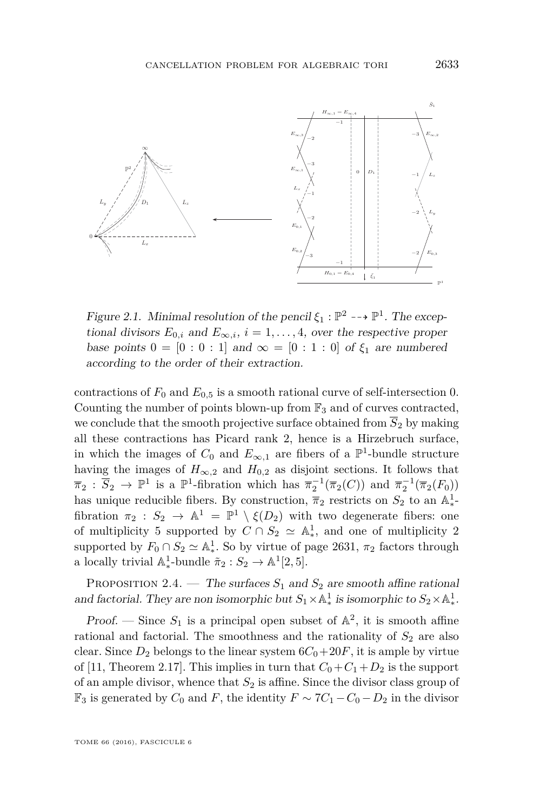

<span id="page-13-0"></span> $F_{1}$  is and  $F_{\infty,i}$ ,  $i = 1, \ldots, 4$ , over the respective proper base points  $0 = [0 : 0 : 1]$  and  $\infty = [0 : 1 : 0]$  of *ξ*<sub>1</sub> are numbered points  $\sigma$  = [0 : 0 : 1] and ∞ = [0 : 1 : 0] or  $\zeta_1$  are nambered<br>according to the order of their extraction. according to the order of their extraction. Figure 2.1. Minimal resolution of the pencil  $\xi_1 : \mathbb{P}^2 \dashrightarrow \mathbb{P}^1$ . The excep-

we conclude that the smooth projective surface obtained from  $\overline{S}_2$  by making *Ne* conclude that the smooth projective surface obtained from *5*<sup>2</sup> by making all these contractions has Picard rank 2, hence is a Hirzebruch surface, in which the images of  $C_0$  and  $E_{\infty,1}$  are fibers of a  $\mathbb{P}^1$ -bundle structure having the images of  $U_{\infty,2}$  and  $H_{0,2}$  as disjoint sections. It follows that  $\overline{\pi}_2 : \overline{S}_2 \to \mathbb{P}^1$  is a  $\mathbb{P}^1$ -fibration which has  $\overline{\pi}_2^{-1}(\overline{\pi}_2(C))$  and  $\overline{\pi}_2^{-1}(\overline{\pi}_2(F_0))$ has unique reducible fibers. By construction,  $\overline{\pi}_2$  restricts on  $S_2$  to an  $\mathbb{A}^1$ . fibration  $\pi_2$  :  $S_2 \rightarrow \mathbb{A}^1 = \mathbb{P}^1 \setminus \xi(D_2)$  with two degenerate fibers: one for *C*<sub>1</sub>  $\frac{1}{2}$   $\frac{1}{2}$   $\frac{1}{2}$   $\frac{1}{2}$   $\frac{1}{2}$   $\frac{1}{2}$   $\frac{1}{2}$   $\frac{1}{2}$   $\frac{1}{2}$   $\frac{1}{2}$   $\frac{1}{2}$   $\frac{1}{2}$   $\frac{1}{2}$   $\frac{1}{2}$   $\frac{1}{2}$   $\frac{1}{2}$   $\frac{1}{2}$   $\frac{1}{2}$   $\frac{1}{2}$   $\frac{1}{2}$   $\frac{1}{2}$  supported by  $F_0 \cap S_2 \simeq \mathbb{A}^1_*$ . So by virtue of page [2631,](#page-10-0)  $\pi_2$  factors through a locally trivial  $\mathbb{A}_*^1$ -bundle  $\tilde{\pi}_2 : S_2 \to \mathbb{A}^1[2, 5]$ . contractions of  $F_2:Z \to Z$  is a smooth rational curve of  $Z$ contractions of  $F_0$  and  $E_{0.5}$  is a smooth rational curve of self-intersection 0. Counting the number of points blown-up from  $\mathbb{F}_3$  and of curves contracted, <sup>1</sup>/<sub>∗</sub>-bundle  $\tilde{\pi}_2$  : *S*<sub>2</sub> → A<sup>1</sup>[2, 5].

PROPOSITION 2.4. — The surfaces  $S_1$  and  $S_2$  are smooth affine rational and factorial. They are non isomorphic but  $S_1 \times \mathbb{A}^1_*$  is isomorphic to  $S_2 \times \mathbb{A}^1_*$ . <sup>1</sup>/<sub>\*</sub> is isomorphic to  $S_2 \times \mathbb{A}^1_*$ ∗ .

Proof. — Since  $S_1$  is a principal open subset of  $\mathbb{A}^2$ , it is smooth affine rational and factorial. The smoothness and the rationality of  $S_2$  are also clear. Since  $D_2$  belongs to the linear system  $6C_0+20F$ , it is ample by virtue of [\[11,](#page-19-12) Theorem 2.17]. This implies in turn that  $C_0 + C_1 + D_2$  is the support of an ample divisor, whence that  $S_2$  is affine. Since the divisor class group of  $\mathbb{F}_3$  is generated by  $C_0$  and  $F$ , the identity  $F \sim 7C_1 - C_0 - D_2$  in the divisor multiplicity 5 supported by *<sup>C</sup>*∩*S*<sup>2</sup> <sup>A</sup><sup>1</sup>  $•$ , and one of  $m$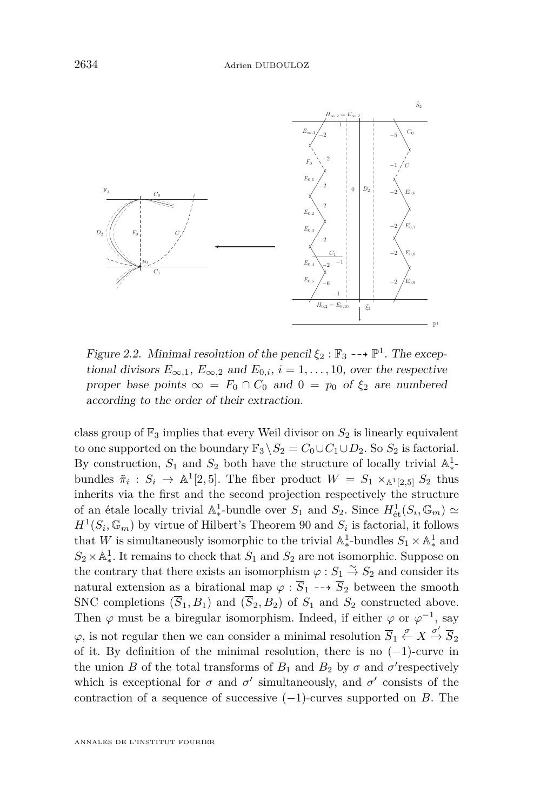

<span id="page-14-0"></span>Figure 2.2. Minimal resolution of the pencil  $\xi_2 : \mathbb{F}_3 \dashrightarrow \mathbb{P}^1$ . The excep- $F_{\infty,1}$ ,  $E_{\infty,2}$  and  $E_{0,i}$ ,  $i = 1,..., 10$ , over the respective proper base points  $\infty = F_0 \cap C_0$  and  $0 = p_0$  of  $\xi_0$  are numbered proper base points  $\infty = F_0 \cap C_0$  and  $0 = p_0$  of  $\xi_2$  are numbered according to the order of their extraction.

class group of  $\mathbb{F}_3$  implies that every Weil divisor on  $S_2$  is linearly equivalent to one supported on the boundary  $\mathbb{F}_3 \setminus S_2 = C_0 \cup C_1 \cup D_2$ . So  $S_2$  is factorial. bundles  $\tilde{\pi}_i : S_i \to \mathbb{A}^1[2, 5]$ . The fiber product  $W = S_1 \times_{\mathbb{A}^1[2, 5]} S_2$  thus inherits via the first and the second projection respectively the structure of an étale locally trivial  $\mathbb{A}_*^1$ -bundle over  $S_1$  and  $S_2$ . Since  $H^1_{\text{\'et}}(S_i, \mathbb{G}_m) \simeq$  $H^1(S_i, \mathbb{G}_m)$  by virtue of Hilbert's Theorem 90 and  $S_i$  is factorial, it follows that *W* is simultaneously isomorphic to the trivial  $\mathbb{A}_*^1$ -bundles  $S_1 \times \mathbb{A}_*^1$  and that *W* is simultaneously isomorphic to the trivial  $\mathbb{A}_*^1$ -bundles  $S_1 \times \mathbb{A}_*^1$  and  $S_2 \times A_*^1$ . It remains to check that  $S_1$  and  $S_2$  are not isomorphic. Suppose on  $\omega_2 \wedge \Omega_{*}$ : it class that there exists an isomorphism  $\varphi : S_1 \overset{\sim}{\to} S_2$  and consider its the contrary that there exists an isomorphism  $\varphi : S_1 \overset{\sim}{\to} S_2$  and consider its natural extension as a birational map  $\varphi : \overline{S}_1 \dashrightarrow \overline{S}_2$  between the smooth SNC completions  $(\overline{S}_1, B_1)$  and  $(\overline{S}_2, B_2)$  of  $S_1$  and  $S_2$  constructed above. Fiber  $\varphi$  must be a biregular isomorphism. Indeed, if either  $\varphi$  or  $\varphi^{-1}$ , say First  $\varphi$  mass is a strogator homospins. Indeed, it closes  $\varphi$  or  $\varphi'$ , solved  $\varphi$ , is not regular then we can consider a minimal resolution  $\overline{S}_1 \stackrel{\sigma}{\leftarrow} X \stackrel{\sigma'}{\rightarrow} \overline{S}_2$ <br>of it. By definition of the minimal resolution, there is no (-1) gurus in of it. By definition of the minimal resolution, there is no  $(-1)$ -curve in the union  $P$  of the total transforms of  $P$ , and  $P$ , by  $\tau$  and  $\tau'$  respectively contraction of a sequence of successive  $(-1)$ -curves supported on *B*. The By construction,  $S_1$  and  $S_2$  both have the structure of locally trivial  $\mathbb{A}^1_*$ ∗ - <sup>1</sup><sub>+</sub>bundle over *S*<sub>1</sub> and *S*<sub>2</sub>. Since  $H^1_{\text{\'et}}(S_i, \mathbb{G}_m) \simeq$ <sup>1</sup>. It remains to check that  $S_1$  and  $S_2$  are not isomorphic. Suppose on the union *B* of the total transforms of  $B_1$  and  $B_2$  by  $\sigma$  and  $\sigma'$  respectively which is exceptional for  $\sigma$  and  $\sigma'$  simultaneously, and  $\sigma'$  consists of the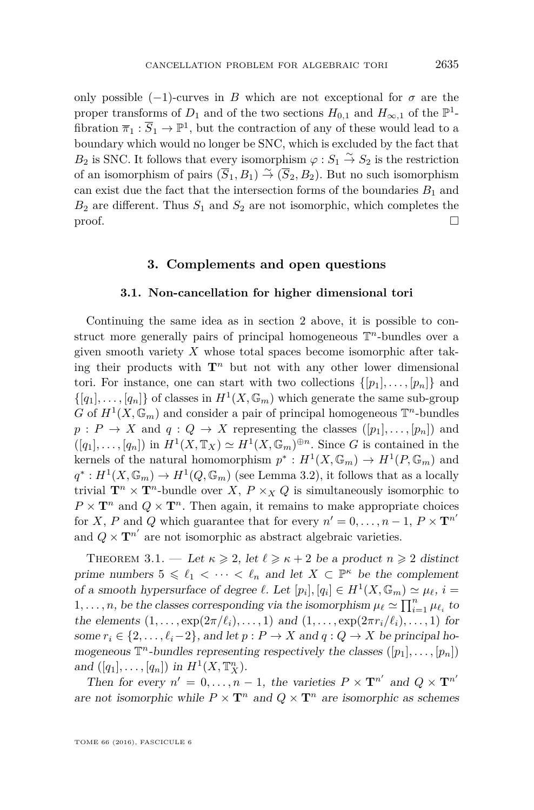only possible  $(-1)$ -curves in *B* which are not exceptional for  $\sigma$  are the proper transforms of  $D_1$  and of the two sections  $H_{0,1}$  and  $H_{\infty,1}$  of the  $\mathbb{P}^1$ fibration  $\overline{\pi}_1 : \overline{S}_1 \to \mathbb{P}^1$ , but the contraction of any of these would lead to a boundary which would no longer be SNC, which is excluded by the fact that *B*<sub>2</sub> is SNC. It follows that every isomorphism  $\varphi : S_1 \stackrel{\sim}{\to} S_2$  is the restriction of an isomorphism of pairs  $(\overline{S}_1, B_1) \stackrel{\sim}{\rightarrow} (\overline{S}_2, B_2)$ . But no such isomorphism can exist due the fact that the intersection forms of the boundaries  $B_1$  and  $B_2$  are different. Thus  $S_1$  and  $S_2$  are not isomorphic, which completes the  $\Box$ 

#### **3. Complements and open questions**

#### **3.1. Non-cancellation for higher dimensional tori**

Continuing the same idea as in section [2](#page-8-1) above, it is possible to construct more generally pairs of principal homogeneous T *<sup>n</sup>*-bundles over a given smooth variety *X* whose total spaces become isomorphic after taking their products with  $\mathbf{T}^n$  but not with any other lower dimensional tori. For instance, one can start with two collections  $\{[p_1], \ldots, [p_n]\}$  and  $\{[q_1], \ldots, [q_n]\}$  of classes in  $H^1(X, \mathbb{G}_m)$  which generate the same sub-group *G* of  $H^1(X, \mathbb{G}_m)$  and consider a pair of principal homogeneous  $\mathbb{T}^n$ -bundles  $p: P \to X$  and  $q: Q \to X$  representing the classes  $([p_1], \ldots, [p_n])$  and  $([q_1], \ldots, [q_n])$  in  $H^1(X, \mathbb{T}_X) \simeq H^1(X, \mathbb{G}_m)^{\oplus n}$ . Since *G* is contained in the kernels of the natural homomorphism  $p^* : H^1(X, \mathbb{G}_m) \to H^1(P, \mathbb{G}_m)$  and  $q^* : H^1(X, \mathbb{G}_m) \to H^1(Q, \mathbb{G}_m)$  (see Lemma [3.2\)](#page-16-0), it follows that as a locally trivial  $\mathbf{T}^n \times \mathbf{T}^n$ -bundle over *X*,  $P \times_X Q$  is simultaneously isomorphic to  $P \times T^n$  and  $Q \times T^n$ . Then again, it remains to make appropriate choices for *X*, *P* and *Q* which guarantee that for every  $n' = 0, \ldots, n - 1, P \times T^{n'}$ and  $Q \times \mathbf{T}^{n'}$  are not isomorphic as abstract algebraic varieties.

<span id="page-15-0"></span>THEOREM 3.1. — Let  $\kappa \geq 2$ , let  $\ell \geq \kappa + 2$  be a product  $n \geq 2$  distinct prime numbers  $5 \leq \ell_1 < \cdots < \ell_n$  and let  $X \subset \mathbb{P}^{\kappa}$  be the complement of a smooth hypersurface of degree  $\ell$ . Let  $[p_i], [q_i] \in H^1(X, \mathbb{G}_m) \simeq \mu_{\ell}, i =$ 1,..., *n*, be the classes corresponding via the isomorphism  $\mu_{\ell} \simeq \prod_{i=1}^{n} \mu_{\ell_i}$  to the elements  $(1, \ldots, \exp(2\pi/\ell_i), \ldots, 1)$  and  $(1, \ldots, \exp(2\pi r_i/\ell_i), \ldots, 1)$  for some  $r_i \in \{2, \ldots, \ell_i-2\}$ , and let  $p : P \to X$  and  $q : Q \to X$  be principal homogeneous  $\mathbb{T}^n$ -bundles representing respectively the classes  $([p_1], \ldots, [p_n])$ and  $([q_1], \ldots, [q_n])$  in  $H^1(X, \mathbb{T}_X^n)$ .

Then for every  $n' = 0, ..., n - 1$ , the varieties  $P \times T^{n'}$  and  $Q \times T^{n'}$ are not isomorphic while  $P \times T^n$  and  $Q \times T^n$  are isomorphic as schemes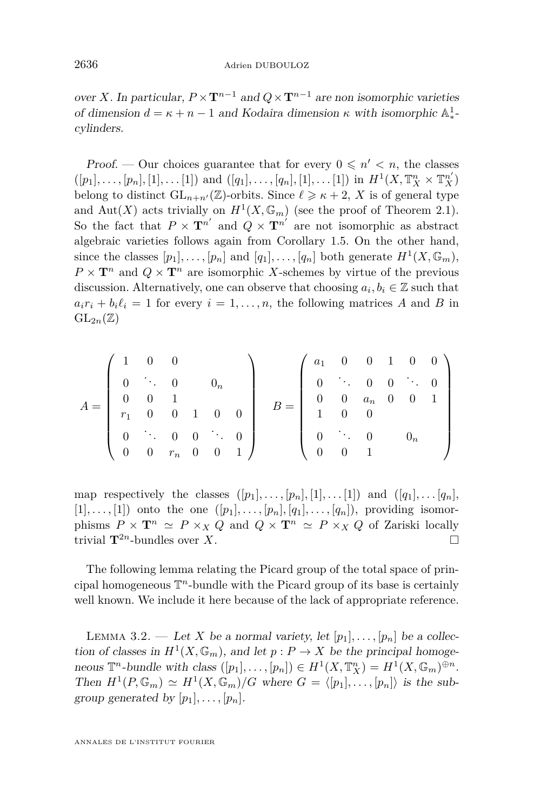over *X*. In particular,  $P \times T^{n-1}$  and  $Q \times T^{n-1}$  are non isomorphic varieties of dimension  $d = \kappa + n - 1$  and Kodaira dimension  $\kappa$  with isomorphic  $\mathbb{A}^1_*$ ∗ cylinders.

Proof. — Our choices guarantee that for every  $0 \leq n' < n$ , the classes  $([p_1], \ldots, [p_n], [1], \ldots, [1])$  and  $([q_1], \ldots, [q_n], [1], \ldots, [1])$  in  $H^1(X, \mathbb{T}_X^n \times \mathbb{T}_X^{n'})$ belong to distinct  $GL_{n+n'}(\mathbb{Z})$ -orbits. Since  $\ell \geq \kappa + 2$ , X is of general type and  $Aut(X)$  acts trivially on  $H^1(X, \mathbb{G}_m)$  (see the proof of Theorem [2.1\)](#page-9-0). So the fact that  $P \times T^{n'}$  and  $Q \times T^{n'}$  are not isomorphic as abstract algebraic varieties follows again from Corollary [1.5.](#page-8-0) On the other hand, since the classes  $[p_1], \ldots, [p_n]$  and  $[q_1], \ldots, [q_n]$  both generate  $H^1(X, \mathbb{G}_m)$ ,  $P \times T^n$  and  $Q \times T^n$  are isomorphic *X*-schemes by virtue of the previous discussion. Alternatively, one can observe that choosing  $a_i, b_i \in \mathbb{Z}$  such that  $a_i r_i + b_i \ell_i = 1$  for every  $i = 1, \ldots, n$ , the following matrices *A* and *B* in  $GL_{2n}(\mathbb{Z})$ 

$$
A = \left(\begin{array}{cccc} 1 & 0 & 0 & & & \\ 0 & \ddots & 0 & 0 & \\ 0 & 0 & 1 & & \\ r_1 & 0 & 0 & 1 & 0 & 0 \\ 0 & \ddots & 0 & 0 & \ddots & 0 \\ 0 & 0 & r_n & 0 & 0 & 1 \end{array}\right) \quad B = \left(\begin{array}{cccc} a_1 & 0 & 0 & 1 & 0 & 0 \\ 0 & \ddots & 0 & 0 & \ddots & 0 \\ 0 & 0 & a_n & 0 & 0 & 1 \\ 1 & 0 & 0 & & \\ 0 & \ddots & 0 & 0 & 0 \\ 0 & 0 & 1 & & \end{array}\right)
$$

map respectively the classes  $([p_1], \ldots, [p_n], [1], \ldots, [1])$  and  $([q_1], \ldots, [q_n],$  $[1], \ldots, [1]$  onto the one  $([p_1], \ldots, [p_n], [q_1], \ldots, [q_n])$ , providing isomorphisms  $P \times \mathbf{T}^n \simeq P \times_X Q$  and  $Q \times \mathbf{T}^n \simeq P \times_X Q$  of Zariski locally trivial  $\mathbf{T}^{2n}$ -bundles over X. trivial  $\mathbf{T}^{2n}$ -bundles over *X*.

The following lemma relating the Picard group of the total space of principal homogeneous T *<sup>n</sup>*-bundle with the Picard group of its base is certainly well known. We include it here because of the lack of appropriate reference.

<span id="page-16-0"></span>LEMMA 3.2. — Let *X* be a normal variety, let  $[p_1], \ldots, [p_n]$  be a collection of classes in  $H^1(X, \mathbb{G}_m)$ , and let  $p: P \to X$  be the principal homogeneous  $\mathbb{T}^n$ -bundle with class  $([p_1], \ldots, [p_n]) \in H^1(X, \mathbb{T}^n_X) = H^1(X, \mathbb{G}_m)^{\oplus n}$ . Then  $H^1(P, \mathbb{G}_m) \simeq H^1(X, \mathbb{G}_m)/G$  where  $G = \langle [p_1], \ldots, [p_n] \rangle$  is the subgroup generated by  $[p_1], \ldots, [p_n]$ .

ANNALES DE L'INSTITUT FOURIER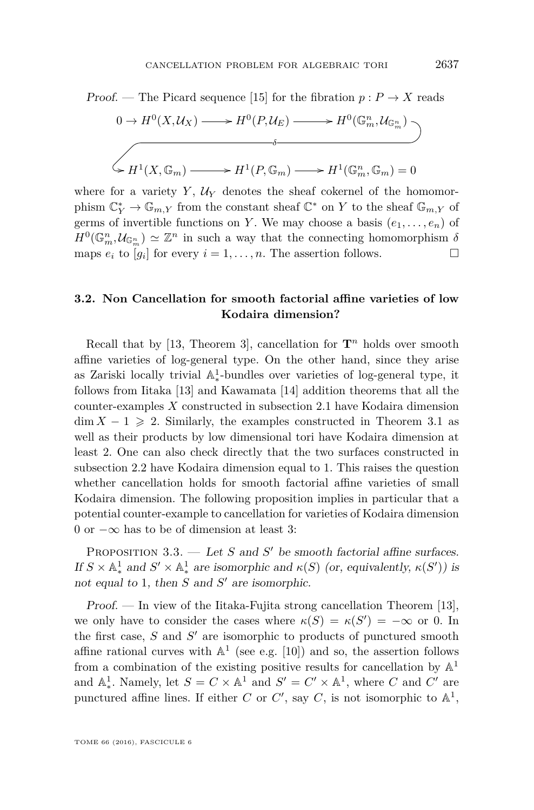

where for a variety  $Y$ ,  $U_Y$  denotes the sheaf cokernel of the homomorphism  $\mathbb{C}_Y^* \to \mathbb{G}_{m,Y}$  from the constant sheaf  $\mathbb{C}^*$  on  $Y$  to the sheaf  $\mathbb{G}_{m,Y}$  of germs of invertible functions on *Y*. We may choose a basis  $(e_1, \ldots, e_n)$  of  $H^0(\mathbb{G}_m^n, \mathcal{U}_{\mathbb{G}_m^n}) \simeq \mathbb{Z}^n$  in such a way that the connecting homomorphism  $\delta$ maps  $e_i$  to  $[g_i]$  for every  $i = 1, \ldots, n$ . The assertion follows.

#### **3.2. Non Cancellation for smooth factorial affine varieties of low Kodaira dimension?**

Recall that by [\[13,](#page-19-1) Theorem 3], cancellation for  $\mathbf{T}^n$  holds over smooth affine varieties of log-general type. On the other hand, since they arise as Zariski locally trivial  $\mathbb{A}^1_*$ ∗ -bundles over varieties of log-general type, it follows from Iitaka [\[13\]](#page-19-1) and Kawamata [\[14\]](#page-19-14) addition theorems that all the counter-examples *X* constructed in subsection [2.1](#page-8-2) have Kodaira dimension  $\dim X - 1 \geqslant 2$ . Similarly, the examples constructed in Theorem [3.1](#page-15-0) as well as their products by low dimensional tori have Kodaira dimension at least 2. One can also check directly that the two surfaces constructed in subsection [2.2](#page-10-0) have Kodaira dimension equal to 1. This raises the question whether cancellation holds for smooth factorial affine varieties of small Kodaira dimension. The following proposition implies in particular that a potential counter-example to cancellation for varieties of Kodaira dimension 0 or −∞ has to be of dimension at least 3:

PROPOSITION  $3.3.$  — Let *S* and *S*<sup> $\prime$ </sup> be smooth factorial affine surfaces. If  $S \times \mathbb{A}^1_*$  and  $S' \times \mathbb{A}^1_*$  are isomorphic and  $\kappa(S)$  (or, equivalently,  $\kappa(S')$ ) is not equal to 1, then  $S$  and  $S'$  are isomorphic.

Proof. — In view of the Iitaka-Fujita strong cancellation Theorem [\[13\]](#page-19-1), we only have to consider the cases where  $\kappa(S) = \kappa(S') = -\infty$  or 0. In the first case,  $S$  and  $S'$  are isomorphic to products of punctured smooth affine rational curves with  $\mathbb{A}^1$  (see e.g. [\[10\]](#page-19-15)) and so, the assertion follows from a combination of the existing positive results for cancellation by  $\mathbb{A}^1$ and  $\mathbb{A}^1_*$ . Namely, let  $S = C \times \mathbb{A}^1$  and  $S' = C' \times \mathbb{A}^1$ , where *C* and *C'* are punctured affine lines. If either *C* or *C'*, say *C*, is not isomorphic to  $\mathbb{A}^1$ ,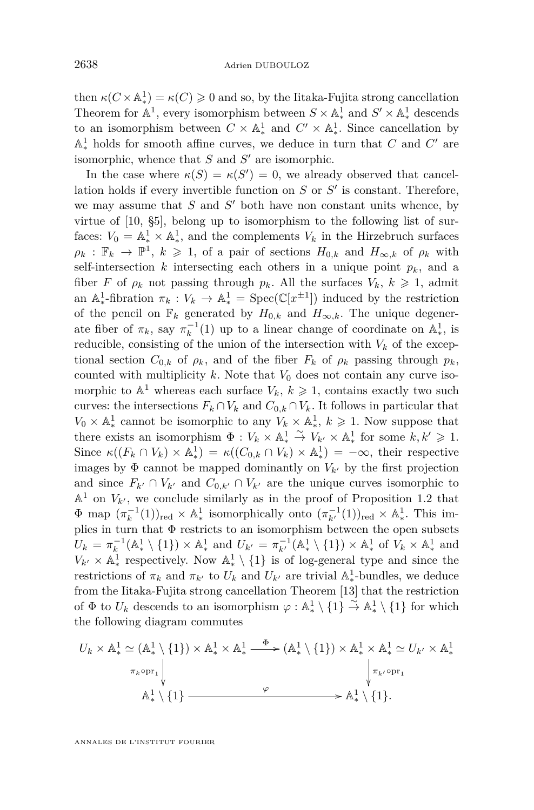then  $\kappa(C \times \mathbb{A}^1_*) = \kappa(C) \geq 0$  and so, by the Iitaka-Fujita strong cancellation Theorem for  $\mathbb{A}^1$ , every isomorphism between  $S \times \mathbb{A}^1_*$  and  $S' \times \mathbb{A}^1_*$  descends to an isomorphism between  $C \times \mathbb{A}^1_*$  and  $C' \times \mathbb{A}^1_*$ . Since cancellation by  $\mathbb{A}^1_*$  holds for smooth affine curves, we deduce in turn that *C* and *C'* are isomorphic, whence that  $S$  and  $S'$  are isomorphic.

In the case where  $\kappa(S) = \kappa(S') = 0$ , we already observed that cancellation holds if every invertible function on  $S$  or  $S'$  is constant. Therefore, we may assume that  $S$  and  $S'$  both have non constant units whence, by virtue of [\[10,](#page-19-15) §5], belong up to isomorphism to the following list of surfaces:  $V_0 = \mathbb{A}_*^1 \times \mathbb{A}_*^1$ , and the complements  $V_k$  in the Hirzebruch surfaces  $\rho_k : \mathbb{F}_k \to \mathbb{P}^1$ ,  $k \geqslant 1$ , of a pair of sections  $H_{0,k}$  and  $H_{\infty,k}$  of  $\rho_k$  with self-intersection  $k$  intersecting each others in a unique point  $p_k$ , and a fiber *F* of  $\rho_k$  not passing through  $p_k$ . All the surfaces  $V_k$ ,  $k \geq 1$ , admit an  $\mathbb{A}^1_*$ <sup>1</sup><sup>+</sup>-fibration  $\pi_k : V_k \to \mathbb{A}^1_* = \text{Spec}(\mathbb{C}[x^{\pm 1}])$  induced by the restriction of the pencil on  $\mathbb{F}_k$  generated by  $H_{0,k}$  and  $H_{\infty,k}$ . The unique degenerate fiber of  $\pi_k$ , say  $\pi_k^{-1}(1)$  up to a linear change of coordinate on  $\mathbb{A}_*^1$  $_{*}^{1}$ , is reducible, consisting of the union of the intersection with  $V_k$  of the exceptional section  $C_{0,k}$  of  $\rho_k$ , and of the fiber  $F_k$  of  $\rho_k$  passing through  $p_k$ , counted with multiplicity  $k$ . Note that  $V_0$  does not contain any curve isomorphic to  $\mathbb{A}^1$  whereas each surface  $V_k$ ,  $k \geq 1$ , contains exactly two such curves: the intersections  $F_k \cap V_k$  and  $C_{0,k} \cap V_k$ . It follows in particular that  $V_0 \times \mathbb{A}^1_*$  cannot be isomorphic to any  $V_k \times \mathbb{A}^1_*$ ,  $k \geq 1$ . Now suppose that  $\Phi : V_k \times \mathbb{A}_*^1 \xrightarrow{\sim} V_{k'} \times \mathbb{A}_*^1$  for some  $k, k' \geq 1$ .<br>there exists an isomorphism  $\Phi : V_k \times \mathbb{A}_*^1 \xrightarrow{\sim} V_{k'} \times \mathbb{A}_*^1$  for some  $k, k' \geq 1$ .  $\text{Since } \kappa((F_k \cap V_k) \times \mathbb{A}_*^1) = \kappa((C_{0,k} \cap V_k) \times \mathbb{A}_*^1) = -\kappa((C_{0,k} \cap V_k) \times \mathbb{A}_*^1)$ <sup>1</sup>/<sub>\*</sub>) =  $\kappa((C_{0,k} ∩ V_k) × A_*^1$  $(\frac{1}{\ast}) = -\infty$ , their respective images by  $\Phi$  cannot be mapped dominantly on  $V_{k}$  by the first projection and since  $F_{k'} \cap V_{k'}$  and  $C_{0,k'} \cap V_{k'}$  are the unique curves isomorphic to  $\mathbb{A}^1$  on  $V_{k'}$ , we conclude similarly as in the proof of Proposition [1.2](#page-6-0) that  $\Phi$  map  $(\pi_k^{-1}(1))_{\text{red}} \times \mathbb{A}_*^1$  isomorphically onto  $(\pi_{k'}^{-1}(1))_{\text{red}} \times \mathbb{A}_*^1$ . This implies in turn that  $\Phi$  restricts to an isomorphism between the open subsets  $U_k = \pi_k^{-1}(\mathbb{A}_*^1 \setminus \{1\}) \times \mathbb{A}_*^1$  and  $U_{k'} = \pi_{k'}^{-1}(\mathbb{A}_*^1 \setminus \{1\}) \times \mathbb{A}_*^1$  of  $V_k \times \mathbb{A}_*^1$  and  $V_{k'} \times \mathbb{A}^1_*$ <sup>1</sup> respectively. Now  $\mathbb{A}^1_* \setminus \{1\}$  is of log-general type and since the restrictions of  $\pi_k$  and  $\pi_{k'}$  to  $U_k$  and  $U_{k'}$  are trivial  $\mathbb{A}^1_*$ ∗ -bundles, we deduce from the Iitaka-Fujita strong cancellation Theorem [\[13\]](#page-19-1) that the restriction of  $\Phi$  to  $U_k$  descends to an isomorphism  $\varphi : \mathbb{A}^1_* \setminus \{1\} \xrightarrow{\sim} \mathbb{A}^1_* \setminus \{1\}$  for which the following diagram commutes

$$
U_k \times \mathbb{A}_*^1 \simeq (\mathbb{A}_*^1 \setminus \{1\}) \times \mathbb{A}_*^1 \times \mathbb{A}_*^1 \xrightarrow{\Phi} (\mathbb{A}_*^1 \setminus \{1\}) \times \mathbb{A}_*^1 \times \mathbb{A}_*^1 \simeq U_{k'} \times \mathbb{A}_*^1
$$
  
\n
$$
\pi_k \circ \text{pr}_1 \downarrow \qquad \qquad \downarrow \qquad \qquad \downarrow \pi_{k'} \circ \text{pr}_1
$$
  
\n
$$
\mathbb{A}_*^1 \setminus \{1\} \xrightarrow{\varphi} \mathbb{A}_*^1 \setminus \{1\}.
$$

ANNALES DE L'INSTITUT FOURIER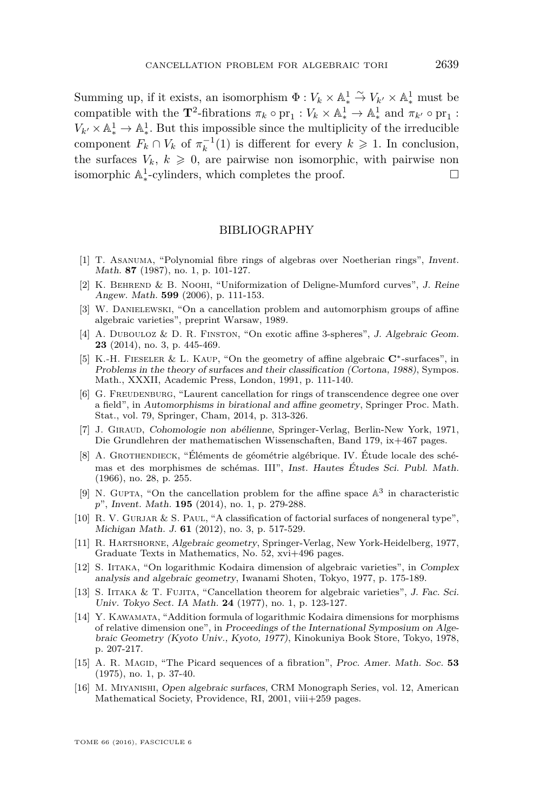Summing up, if it exists, an isomorphism  $\Phi: V_k \times \mathbb{A}_*^1 \overset{\sim}{\to} V_{k'} \times \mathbb{A}_*^1$  must be  $\overline{C}$  compatible with the **T**<sup>2</sup>-fibrations  $\pi_k \circ pr_1 : V_k \times \mathbb{A}_*^1 \to \mathbb{A}_*^1$  and  $\pi_{k'} \circ pr_1 :$  $V_{k'} \times \mathbb{A}^1_* \to \mathbb{A}^1_*$ . But this impossible since the multiplicity of the irreducible component  $F_k \cap V_k$  of  $\pi_k^{-1}(1)$  is different for every  $k \geq 1$ . In conclusion, the surfaces  $V_k$ ,  $k \geq 0$ , are pairwise non isomorphic, with pairwise non isomorphic A 1 ∗ -cylinders, which completes the proof.

#### BIBLIOGRAPHY

- <span id="page-19-4"></span>[1] T. Asanuma, "Polynomial fibre rings of algebras over Noetherian rings", Invent. Math. **87** (1987), no. 1, p. 101-127.
- <span id="page-19-10"></span>[2] K. Behrend & B. Noohi, "Uniformization of Deligne-Mumford curves", J. Reine Angew. Math. **599** (2006), p. 111-153.
- <span id="page-19-2"></span>[3] W. Danielewski, "On a cancellation problem and automorphism groups of affine algebraic varieties", preprint Warsaw, 1989.
- <span id="page-19-11"></span>[4] A. Dubouloz & D. R. Finston, "On exotic affine 3-spheres", J. Algebraic Geom. **23** (2014), no. 3, p. 445-469.
- <span id="page-19-9"></span>[5] K.-H. Fieseler & L. Kaup, "On the geometry of affine algebraic **C**∗-surfaces", in Problems in the theory of surfaces and their classification (Cortona, 1988), Sympos. Math., XXXII, Academic Press, London, 1991, p. 111-140.
- <span id="page-19-5"></span>[6] G. FREUDENBURG, "Laurent cancellation for rings of transcendence degree one over a field", in Automorphisms in birational and affine geometry, Springer Proc. Math. Stat., vol. 79, Springer, Cham, 2014, p. 313-326.
- <span id="page-19-6"></span>[7] J. Giraud, Cohomologie non abélienne, Springer-Verlag, Berlin-New York, 1971, Die Grundlehren der mathematischen Wissenschaften, Band 179, ix+467 pages.
- <span id="page-19-7"></span>[8] A. Grothendieck, "Éléments de géométrie algébrique. IV. Étude locale des schémas et des morphismes de schémas. III", Inst. Hautes Études Sci. Publ. Math. (1966), no. 28, p. 255.
- <span id="page-19-3"></span>[9] N. GUPTA, "On the cancellation problem for the affine space  $\mathbb{A}^3$  in characteristic *p*", Invent. Math. **195** (2014), no. 1, p. 279-288.
- <span id="page-19-15"></span>[10] R. V. Gurjar & S. Paul, "A classification of factorial surfaces of nongeneral type", Michigan Math. J. **61** (2012), no. 3, p. 517-529.
- <span id="page-19-12"></span>[11] R. Hartshorne, Algebraic geometry, Springer-Verlag, New York-Heidelberg, 1977, Graduate Texts in Mathematics, No. 52, xvi+496 pages.
- <span id="page-19-0"></span>[12] S. Iitaka, "On logarithmic Kodaira dimension of algebraic varieties", in Complex analysis and algebraic geometry, Iwanami Shoten, Tokyo, 1977, p. 175-189.
- <span id="page-19-1"></span>[13] S. IITAKA & T. FUJITA, "Cancellation theorem for algebraic varieties", J. Fac. Sci. Univ. Tokyo Sect. IA Math. **24** (1977), no. 1, p. 123-127.
- <span id="page-19-14"></span>[14] Y. Kawamata, "Addition formula of logarithmic Kodaira dimensions for morphisms of relative dimension one", in Proceedings of the International Symposium on Algebraic Geometry (Kyoto Univ., Kyoto, 1977), Kinokuniya Book Store, Tokyo, 1978, p. 207-217.
- <span id="page-19-13"></span>[15] A. R. Magid, "The Picard sequences of a fibration", Proc. Amer. Math. Soc. **53** (1975), no. 1, p. 37-40.
- <span id="page-19-8"></span>[16] M. Miyanishi, Open algebraic surfaces, CRM Monograph Series, vol. 12, American Mathematical Society, Providence, RI, 2001, viii+259 pages.